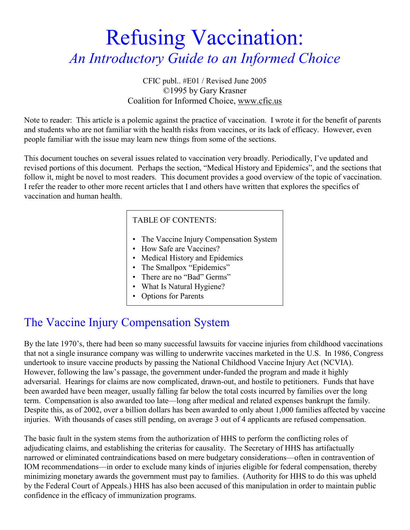# Refusing Vaccination: *An Introductory Guide to an Informed Choice*

CFIC publ.. #E01 / Revised June 2005 ©1995 by Gary Krasner Coalition for Informed Choice, [www.cfic.us](http://www.cfic.us)

Note to reader: This article is a polemic against the practice of vaccination. I wrote it for the benefit of parents and students who are not familiar with the health risks from vaccines, or its lack of efficacy. However, even people familiar with the issue may learn new things from some of the sections.

This document touches on several issues related to vaccination very broadly. Periodically, I've updated and revised portions of this document. Perhaps the section, "Medical History and Epidemics", and the sections that follow it, might be novel to most readers. This document provides a good overview of the topic of vaccination. I refer the reader to other more recent articles that I and others have written that explores the specifics of vaccination and human health.

## TABLE OF CONTENTS:

- The Vaccine Injury Compensation System
- How Safe are Vaccines?
- Medical History and Epidemics
- The Smallpox "Epidemics"
- There are no "Bad" Germs"
- What Is Natural Hygiene?
- Options for Parents

## The Vaccine Injury Compensation System

By the late 1970's, there had been so many successful lawsuits for vaccine injuries from childhood vaccinations that not a single insurance company was willing to underwrite vaccines marketed in the U.S. In 1986, Congress undertook to insure vaccine products by passing the National Childhood Vaccine Injury Act (NCVIA). However, following the law's passage, the government under-funded the program and made it highly adversarial. Hearings for claims are now complicated, drawn-out, and hostile to petitioners. Funds that have been awarded have been meager, usually falling far below the total costs incurred by families over the long term. Compensation is also awarded too late—long after medical and related expenses bankrupt the family. Despite this, as of 2002, over a billion dollars has been awarded to only about 1,000 families affected by vaccine injuries. With thousands of cases still pending, on average 3 out of 4 applicants are refused compensation.

The basic fault in the system stems from the authorization of HHS to perform the conflicting roles of adjudicating claims, and establishing the criterias for causality. The Secretary of HHS has artifactually narrowed or eliminated contraindications based on mere budgetary considerations—often in contravention of IOM recommendations—in order to exclude many kinds of injuries eligible for federal compensation, thereby minimizing monetary awards the government must pay to families. (Authority for HHS to do this was upheld by the Federal Court of Appeals.) HHS has also been accused of this manipulation in order to maintain public confidence in the efficacy of immunization programs.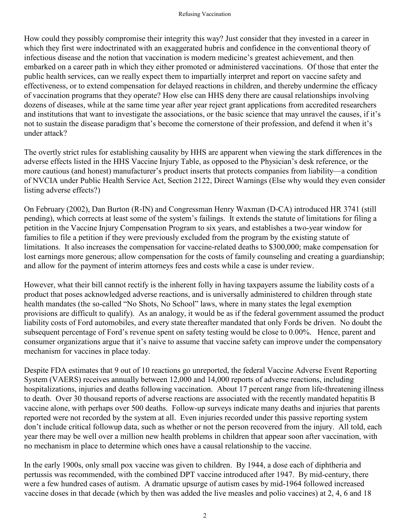How could they possibly compromise their integrity this way? Just consider that they invested in a career in which they first were indoctrinated with an exaggerated hubris and confidence in the conventional theory of infectious disease and the notion that vaccination is modern medicine's greatest achievement, and then embarked on a career path in which they either promoted or administered vaccinations. Of those that enter the public health services, can we really expect them to impartially interpret and report on vaccine safety and effectiveness, or to extend compensation for delayed reactions in children, and thereby undermine the efficacy of vaccination programs that they operate? How else can HHS deny there are causal relationships involving dozens of diseases, while at the same time year after year reject grant applications from accredited researchers and institutions that want to investigate the associations, or the basic science that may unravel the causes, if it's not to sustain the disease paradigm that's become the cornerstone of their profession, and defend it when it's under attack?

The overtly strict rules for establishing causality by HHS are apparent when viewing the stark differences in the adverse effects listed in the HHS Vaccine Injury Table, as opposed to the Physician's desk reference, or the more cautious (and honest) manufacturer's product inserts that protects companies from liability—a condition of NVCIA under Public Health Service Act, Section 2122, Direct Warnings (Else why would they even consider listing adverse effects?)

On February (2002), Dan Burton (R-IN) and Congressman Henry Waxman (D-CA) introduced HR 3741 (still pending), which corrects at least some of the system's failings. It extends the statute of limitations for filing a petition in the Vaccine Injury Compensation Program to six years, and establishes a two-year window for families to file a petition if they were previously excluded from the program by the existing statute of limitations. It also increases the compensation for vaccine-related deaths to \$300,000; make compensation for lost earnings more generous; allow compensation for the costs of family counseling and creating a guardianship; and allow for the payment of interim attorneys fees and costs while a case is under review.

However, what their bill cannot rectify is the inherent folly in having taxpayers assume the liability costs of a product that poses acknowledged adverse reactions, and is universally administered to children through state health mandates (the so-called "No Shots, No School" laws, where in many states the legal exemption provisions are difficult to qualify). As an analogy, it would be as if the federal government assumed the product liability costs of Ford automobiles, and every state thereafter mandated that only Fords be driven. No doubt the subsequent percentage of Ford's revenue spent on safety testing would be close to 0.00%. Hence, parent and consumer organizations argue that it's naive to assume that vaccine safety can improve under the compensatory mechanism for vaccines in place today.

Despite FDA estimates that 9 out of 10 reactions go unreported, the federal Vaccine Adverse Event Reporting System (VAERS) receives annually between 12,000 and 14,000 reports of adverse reactions, including hospitalizations, injuries and deaths following vaccination. About 17 percent range from life-threatening illness to death. Over 30 thousand reports of adverse reactions are associated with the recently mandated hepatitis B vaccine alone, with perhaps over 500 deaths. Follow-up surveys indicate many deaths and injuries that parents reported were not recorded by the system at all. Even injuries recorded under this passive reporting system don't include critical followup data, such as whether or not the person recovered from the injury. All told, each year there may be well over a million new health problems in children that appear soon after vaccination, with no mechanism in place to determine which ones have a causal relationship to the vaccine.

In the early 1900s, only small pox vaccine was given to children. By 1944, a dose each of diphtheria and pertussis was recommended, with the combined DPT vaccine introduced after 1947. By mid-century, there were a few hundred cases of autism. A dramatic upsurge of autism cases by mid-1964 followed increased vaccine doses in that decade (which by then was added the live measles and polio vaccines) at 2, 4, 6 and 18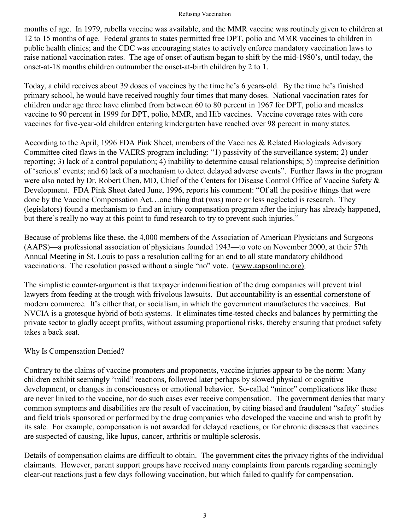months of age. In 1979, rubella vaccine was available, and the MMR vaccine was routinely given to children at 12 to 15 months of age. Federal grants to states permitted free DPT, polio and MMR vaccines to children in public health clinics; and the CDC was encouraging states to actively enforce mandatory vaccination laws to raise national vaccination rates. The age of onset of autism began to shift by the mid-1980's, until today, the onset-at-18 months children outnumber the onset-at-birth children by 2 to 1.

Today, a child receives about 39 doses of vaccines by the time he's 6 years-old. By the time he's finished primary school, he would have received roughly four times that many doses. National vaccination rates for children under age three have climbed from between 60 to 80 percent in 1967 for DPT, polio and measles vaccine to 90 percent in 1999 for DPT, polio, MMR, and Hib vaccines. Vaccine coverage rates with core vaccines for five-year-old children entering kindergarten have reached over 98 percent in many states.

According to the April, 1996 FDA Pink Sheet, members of the Vaccines & Related Biologicals Advisory Committee cited flaws in the VAERS program including: "1) passivity of the surveillance system; 2) under reporting; 3) lack of a control population; 4) inability to determine causal relationships; 5) imprecise definition of 'serious' events; and 6) lack of a mechanism to detect delayed adverse events". Further flaws in the program were also noted by Dr. Robert Chen, MD, Chief of the Centers for Disease Control Office of Vaccine Safety & Development. FDA Pink Sheet dated June, 1996, reports his comment: "Of all the positive things that were done by the Vaccine Compensation Act…one thing that (was) more or less neglected is research. They (legislators) found a mechanism to fund an injury compensation program after the injury has already happened, but there's really no way at this point to fund research to try to prevent such injuries."

Because of problems like these, the 4,000 members of the Association of American Physicians and Surgeons (AAPS)—a professional association of physicians founded 1943—to vote on November 2000, at their 57th Annual Meeting in St. Louis to pass a resolution calling for an end to all state mandatory childhood vaccinations. The resolution passed without a single "no" vote. [\(www.aapsonline.org\)](http://www.aapsonline.org)).

The simplistic counter-argument is that taxpayer indemnification of the drug companies will prevent trial lawyers from feeding at the trough with frivolous lawsuits. But accountability is an essential cornerstone of modern commerce. It's either that, or socialism, in which the government manufactures the vaccines. But NVCIA is a grotesque hybrid of both systems. It eliminates time-tested checks and balances by permitting the private sector to gladly accept profits, without assuming proportional risks, thereby ensuring that product safety takes a back seat.

### Why Is Compensation Denied?

Contrary to the claims of vaccine promoters and proponents, vaccine injuries appear to be the norm: Many children exhibit seemingly "mild" reactions, followed later perhaps by slowed physical or cognitive development, or changes in consciousness or emotional behavior. So-called "minor" complications like these are never linked to the vaccine, nor do such cases ever receive compensation. The government denies that many common symptoms and disabilities are the result of vaccination, by citing biased and fraudulent "safety" studies and field trials sponsored or performed by the drug companies who developed the vaccine and wish to profit by its sale. For example, compensation is not awarded for delayed reactions, or for chronic diseases that vaccines are suspected of causing, like lupus, cancer, arthritis or multiple sclerosis.

Details of compensation claims are difficult to obtain. The government cites the privacy rights of the individual claimants. However, parent support groups have received many complaints from parents regarding seemingly clear-cut reactions just a few days following vaccination, but which failed to qualify for compensation.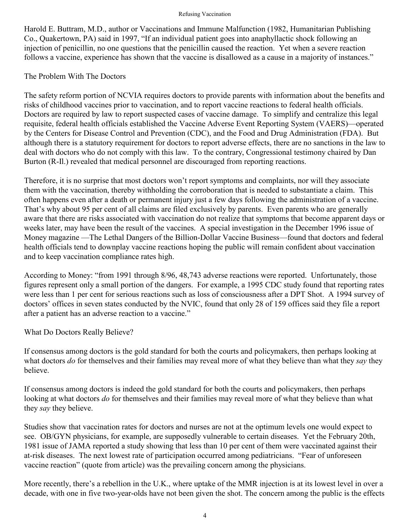Harold E. Buttram, M.D., author or Vaccinations and Immune Malfunction (1982, Humanitarian Publishing Co., Quakertown, PA) said in 1997, "If an individual patient goes into anaphyllactic shock following an injection of penicillin, no one questions that the penicillin caused the reaction. Yet when a severe reaction follows a vaccine, experience has shown that the vaccine is disallowed as a cause in a majority of instances."

The Problem With The Doctors

The safety reform portion of NCVIA requires doctors to provide parents with information about the benefits and risks of childhood vaccines prior to vaccination, and to report vaccine reactions to federal health officials. Doctors are required by law to report suspected cases of vaccine damage. To simplify and centralize this legal requisite, federal health officials established the Vaccine Adverse Event Reporting System (VAERS)—operated by the Centers for Disease Control and Prevention (CDC), and the Food and Drug Administration (FDA). But although there is a statutory requirement for doctors to report adverse effects, there are no sanctions in the law to deal with doctors who do not comply with this law. To the contrary, Congressional testimony chaired by Dan Burton (R-Il.) revealed that medical personnel are discouraged from reporting reactions.

Therefore, it is no surprise that most doctors won't report symptoms and complaints, nor will they associate them with the vaccination, thereby withholding the corroboration that is needed to substantiate a claim. This often happens even after a death or permanent injury just a few days following the administration of a vaccine. That's why about 95 per cent of all claims are filed exclusively by parents. Even parents who are generally aware that there are risks associated with vaccination do not realize that symptoms that become apparent days or weeks later, may have been the result of the vaccines. A special investigation in the December 1996 issue of Money magazine —The Lethal Dangers of the Billion-Dollar Vaccine Business—found that doctors and federal health officials tend to downplay vaccine reactions hoping the public will remain confident about vaccination and to keep vaccination compliance rates high.

According to Money: "from 1991 through 8/96, 48,743 adverse reactions were reported. Unfortunately, those figures represent only a small portion of the dangers. For example, a 1995 CDC study found that reporting rates were less than 1 per cent for serious reactions such as loss of consciousness after a DPT Shot. A 1994 survey of doctors' offices in seven states conducted by the NVIC, found that only 28 of 159 offices said they file a report after a patient has an adverse reaction to a vaccine."

What Do Doctors Really Believe?

If consensus among doctors is the gold standard for both the courts and policymakers, then perhaps looking at what doctors *do* for themselves and their families may reveal more of what they believe than what they *say* they believe.

If consensus among doctors is indeed the gold standard for both the courts and policymakers, then perhaps looking at what doctors *do* for themselves and their families may reveal more of what they believe than what they *say* they believe.

Studies show that vaccination rates for doctors and nurses are not at the optimum levels one would expect to see. OB/GYN physicians, for example, are supposedly vulnerable to certain diseases. Yet the February 20th, 1981 issue of JAMA reported a study showing that less than 10 per cent of them were vaccinated against their at-risk diseases. The next lowest rate of participation occurred among pediatricians. "Fear of unforeseen vaccine reaction" (quote from article) was the prevailing concern among the physicians.

More recently, there's a rebellion in the U.K., where uptake of the MMR injection is at its lowest level in over a decade, with one in five two-year-olds have not been given the shot. The concern among the public is the effects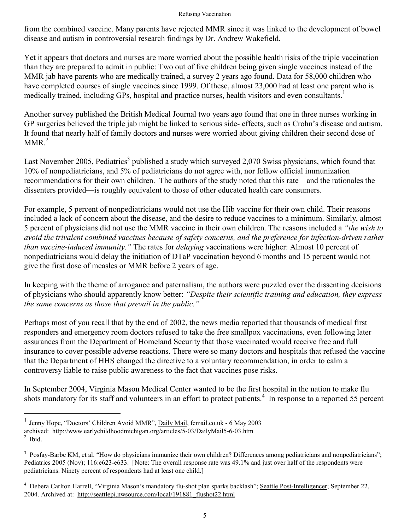from the combined vaccine. Many parents have rejected MMR since it was linked to the development of bowel disease and autism in controversial research findings by Dr. Andrew Wakefield.

Yet it appears that doctors and nurses are more worried about the possible health risks of the triple vaccination than they are prepared to admit in public: Two out of five children being given single vaccines instead of the MMR jab have parents who are medically trained, a survey 2 years ago found. Data for 58,000 children who have completed courses of single vaccines since 1999. Of these, almost 23,000 had at least one parent who is medically trained, including GPs, hospital and practice nurses, health visitors and even consultants.<sup>1</sup>

Another survey published the British Medical Journal two years ago found that one in three nurses working in GP surgeries believed the triple jab might be linked to serious side- effects, such as Crohn's disease and autism. It found that nearly half of family doctors and nurses were worried about giving children their second dose of  $MMR.<sup>2</sup>$ 

Last November 2005, Pediatrics<sup>3</sup> published a study which surveyed 2,070 Swiss physicians, which found that 10% of nonpediatricians, and 5% of pediatricians do not agree with, nor follow official immunization recommendations for their own children. The authors of the study noted that this rate—and the rationales the dissenters provided—is roughly equivalent to those of other educated health care consumers.

For example, 5 percent of nonpediatricians would not use the Hib vaccine for their own child. Their reasons included a lack of concern about the disease, and the desire to reduce vaccines to a minimum. Similarly, almost 5 percent of physicians did not use the MMR vaccine in their own children. The reasons included a *"the wish to avoid the trivalent combined vaccines because of safety concerns, and the preference for infection-driven rather than vaccine-induced immunity."* The rates for *delaying* vaccinations were higher: Almost 10 percent of nonpediatricians would delay the initiation of DTaP vaccination beyond 6 months and 15 percent would not give the first dose of measles or MMR before 2 years of age.

In keeping with the theme of arrogance and paternalism, the authors were puzzled over the dissenting decisions of physicians who should apparently know better: *"Despite their scientific training and education, they express the same concerns as those that prevail in the public."*

Perhaps most of you recall that by the end of 2002, the news media reported that thousands of medical first responders and emergency room doctors refused to take the free smallpox vaccinations, even following later assurances from the Department of Homeland Security that those vaccinated would receive free and full insurance to cover possible adverse reactions. There were so many doctors and hospitals that refused the vaccine that the Department of HHS changed the directive to a voluntary recommendation, in order to calm a controversy liable to raise public awareness to the fact that vaccines pose risks.

In September 2004, Virginia Mason Medical Center wanted to be the first hospital in the nation to make flu shots mandatory for its staff and volunteers in an effort to protect patients.<sup>4</sup> In response to a reported 55 percent

<sup>&</sup>lt;sup>1</sup> Jenny Hope, "Doctors' Children Avoid MMR", Daily Mail, femail.co.uk - 6 May 2003 archived: <http://www.earlychildhoodmichigan.org/articles/5-03/DailyMail5-6-03.htm><br><sup>2</sup> Ibid Ibid.

<sup>&</sup>lt;sup>3</sup> Posfay-Barbe KM, et al. "How do physicians immunize their own children? Differences among pediatricians and nonpediatricians"; Pediatrics 2005 (Nov); 116:e623-e633. [Note: The overall response rate was 49.1% and just over half of the respondents were pediatricians. Ninety percent of respondents had at least one child.]

<sup>&</sup>lt;sup>4</sup> Debera Carlton Harrell, "Virginia Mason's mandatory flu-shot plan sparks backlash"; Seattle Post-Intelligencer; September 22, 2004. Archived at: [http://seattlepi.nwsource.com/local/191881\\_flushot22.html](http://seattlepi.nwsource.com/local/191881_flushot22.html)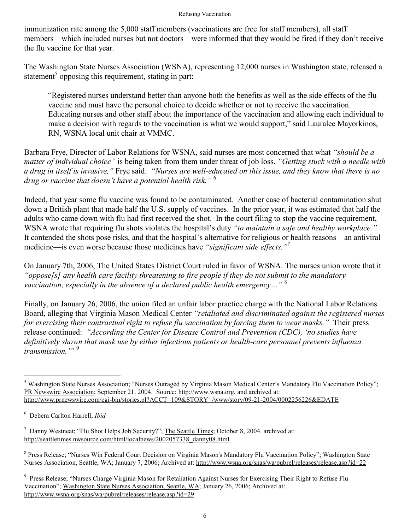immunization rate among the 5,000 staff members (vaccinations are free for staff members), all staff members—which included nurses but not doctors—were informed that they would be fired if they don't receive the flu vaccine for that year.

The Washington State Nurses Association (WSNA), representing 12,000 nurses in Washington state, released a statement<sup>5</sup> opposing this requirement, stating in part:

"Registered nurses understand better than anyone both the benefits as well as the side effects of the flu vaccine and must have the personal choice to decide whether or not to receive the vaccination. Educating nurses and other staff about the importance of the vaccination and allowing each individual to make a decision with regards to the vaccination is what we would support," said Lauralee Mayorkinos, RN, WSNA local unit chair at VMMC.

Barbara Frye, Director of Labor Relations for WSNA, said nurses are most concerned that what *"should be a matter of individual choice"* is being taken from them under threat of job loss. *"Getting stuck with a needle with a drug in itself is invasive,"* Frye said. *"Nurses are well-educated on this issue, and they know that there is no drug or vaccine that doesn't have a potential health risk."* <sup>6</sup>

Indeed, that year some flu vaccine was found to be contaminated. Another case of bacterial contamination shut down a British plant that made half the U.S. supply of vaccines. In the prior year, it was estimated that half the adults who came down with flu had first received the shot. In the court filing to stop the vaccine requirement, WSNA wrote that requiring flu shots violates the hospital's duty *"to maintain a safe and healthy workplace."* It contended the shots pose risks, and that the hospital's alternative for religious or health reasons—an antiviral medicine—is even worse because those medicines have *"significant side effects."<sup>7</sup>*

On January 7th, 2006, The United States District Court ruled in favor of WSNA. The nurses union wrote that it *"oppose[s] any health care facility threatening to fire people if they do not submit to the mandatory vaccination, especially in the absence of a declared public health emergency…"* <sup>8</sup>

Finally, on January 26, 2006, the union filed an unfair labor practice charge with the National Labor Relations Board, alleging that Virginia Mason Medical Center *"retaliated and discriminated against the registered nurses for exercising their contractual right to refuse flu vaccination by forcing them to wear masks."* Their press release continued: *"According the Center for Disease Control and Prevention (CDC), 'no studies have definitively shown that mask use by either infectious patients or health-care personnel prevents influenza transmission.'"* 9

<sup>&</sup>lt;sup>5</sup> Washington State Nurses Association; "Nurses Outraged by Virginia Mason Medical Center's Mandatory Flu Vaccination Policy"; PR Newswire Association; September 21, 2004. Source: [http://www.wsna.org,](http://www.wsna.org) and archived at: <http://www.prnewswire.com/cgi-bin/stories.pl?ACCT=109&STORY=/www/story/09-21-2004/0002256226&EDATE>=

<sup>6</sup> Debera Carlton Harrell, *Ibid*

<sup>&</sup>lt;sup>7</sup> Danny Westneat; "Flu Shot Helps Job Security?"; The Seattle Times; October 8, 2004. archived at: [http://seattletimes.nwsource.com/html/localnews/2002057338\\_danny08.html](http://seattletimes.nwsource.com/html/localnews/2002057338_danny08.html)

<sup>&</sup>lt;sup>8</sup> Press Release; "Nurses Win Federal Court Decision on Virginia Mason's Mandatory Flu Vaccination Policy"; Washington State Nurses Association, Seattle, WA; January 7, 2006; Archived at: <http://www.wsna.org/snas/wa/pubrel/releases/release.asp?id=22>

<sup>&</sup>lt;sup>9</sup> Press Release; "Nurses Charge Virginia Mason for Retaliation Against Nurses for Exercising Their Right to Refuse Flu Vaccination"; Washington State Nurses Association, Seattle, WA; January 26, 2006; Archived at: <http://www.wsna.org/snas/wa/pubrel/releases/release.asp?id=29>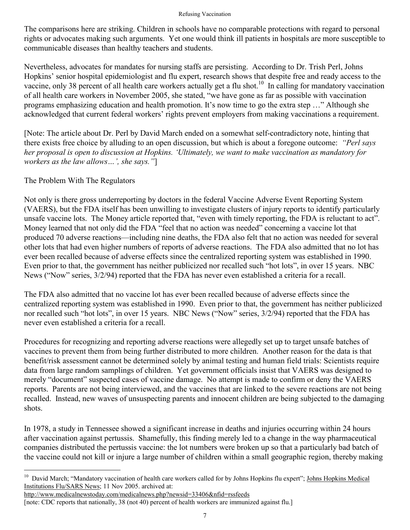The comparisons here are striking. Children in schools have no comparable protections with regard to personal rights or advocates making such arguments. Yet one would think ill patients in hospitals are more susceptible to communicable diseases than healthy teachers and students.

Nevertheless, advocates for mandates for nursing staffs are persisting. According to Dr. Trish Perl, Johns Hopkins' senior hospital epidemiologist and flu expert, research shows that despite free and ready access to the vaccine, only 38 percent of all health care workers actually get a flu shot.<sup>10</sup> In calling for mandatory vaccination of all health care workers in November 2005, she stated, "we have gone as far as possible with vaccination programs emphasizing education and health promotion. It's now time to go the extra step …" Although she acknowledged that current federal workers' rights prevent employers from making vaccinations a requirement.

[Note: The article about Dr. Perl by David March ended on a somewhat self-contradictory note, hinting that there exists free choice by alluding to an open discussion, but which is about a foregone outcome: *"Perl says her proposal is open to discussion at Hopkins. 'Ultimately, we want to make vaccination as mandatory for workers as the law allows…', she says."*]

## The Problem With The Regulators

Not only is there gross underreporting by doctors in the federal Vaccine Adverse Event Reporting System (VAERS), but the FDA itself has been unwilling to investigate clusters of injury reports to identify particularly unsafe vaccine lots. The Money article reported that, "even with timely reporting, the FDA is reluctant to act". Money learned that not only did the FDA "feel that no action was needed" concerning a vaccine lot that produced 70 adverse reactions—including nine deaths, the FDA also felt that no action was needed for several other lots that had even higher numbers of reports of adverse reactions. The FDA also admitted that no lot has ever been recalled because of adverse effects since the centralized reporting system was established in 1990. Even prior to that, the government has neither publicized nor recalled such "hot lots", in over 15 years. NBC News ("Now" series, 3/2/94) reported that the FDA has never even established a criteria for a recall.

The FDA also admitted that no vaccine lot has ever been recalled because of adverse effects since the centralized reporting system was established in 1990. Even prior to that, the government has neither publicized nor recalled such "hot lots", in over 15 years. NBC News ("Now" series,  $3/2/94$ ) reported that the FDA has never even established a criteria for a recall.

Procedures for recognizing and reporting adverse reactions were allegedly set up to target unsafe batches of vaccines to prevent them from being further distributed to more children. Another reason for the data is that benefit/risk assessment cannot be determined solely by animal testing and human field trials: Scientists require data from large random samplings of children. Yet government officials insist that VAERS was designed to merely "document" suspected cases of vaccine damage. No attempt is made to confirm or deny the VAERS reports. Parents are not being interviewed, and the vaccines that are linked to the severe reactions are not being recalled. Instead, new waves of unsuspecting parents and innocent children are being subjected to the damaging shots.

In 1978, a study in Tennessee showed a significant increase in deaths and injuries occurring within 24 hours after vaccination against pertussis. Shamefully, this finding merely led to a change in the way pharmaceutical companies distributed the pertussis vaccine: the lot numbers were broken up so that a particularly bad batch of the vaccine could not kill or injure a large number of children within a small geographic region, thereby making

<http://www.medicalnewstoday.com/medicalnews.php?newsid=33406&nfid=rssfeeds>

<sup>&</sup>lt;sup>10</sup> David March; "Mandatory vaccination of health care workers called for by Johns Hopkins flu expert"; Johns Hopkins Medical Institutions Flu/SARS News; 11 Nov 2005. archived at:

<sup>[</sup>note: CDC reports that nationally, 38 (not 40) percent of health workers are immunized against flu.]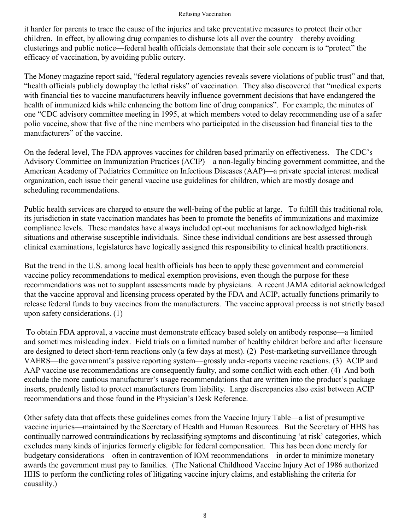it harder for parents to trace the cause of the injuries and take preventative measures to protect their other children. In effect, by allowing drug companies to disburse lots all over the country—thereby avoiding clusterings and public notice—federal health officials demonstate that their sole concern is to "protect" the efficacy of vaccination, by avoiding public outcry.

The Money magazine report said, "federal regulatory agencies reveals severe violations of public trust" and that, "health officials publicly downplay the lethal risks" of vaccination. They also discovered that "medical experts with financial ties to vaccine manufacturers heavily influence government decisions that have endangered the health of immunized kids while enhancing the bottom line of drug companies". For example, the minutes of one "CDC advisory committee meeting in 1995, at which members voted to delay recommending use of a safer polio vaccine, show that five of the nine members who participated in the discussion had financial ties to the manufacturers" of the vaccine.

On the federal level, The FDA approves vaccines for children based primarily on effectiveness. The CDC's Advisory Committee on Immunization Practices (ACIP)—a non-legally binding government committee, and the American Academy of Pediatrics Committee on Infectious Diseases (AAP)—a private special interest medical organization, each issue their general vaccine use guidelines for children, which are mostly dosage and scheduling recommendations.

Public health services are charged to ensure the well-being of the public at large. To fulfill this traditional role, its jurisdiction in state vaccination mandates has been to promote the benefits of immunizations and maximize compliance levels. These mandates have always included opt-out mechanisms for acknowledged high-risk situations and otherwise susceptible individuals. Since these individual conditions are best assessed through clinical examinations, legislatures have logically assigned this responsibility to clinical health practitioners.

But the trend in the U.S. among local health officials has been to apply these government and commercial vaccine policy recommendations to medical exemption provisions, even though the purpose for these recommendations was not to supplant assessments made by physicians. A recent JAMA editorial acknowledged that the vaccine approval and licensing process operated by the FDA and ACIP, actually functions primarily to release federal funds to buy vaccines from the manufacturers. The vaccine approval process is not strictly based upon safety considerations. (1)

 To obtain FDA approval, a vaccine must demonstrate efficacy based solely on antibody response—a limited and sometimes misleading index. Field trials on a limited number of healthy children before and after licensure are designed to detect short-term reactions only (a few days at most). (2) Post-marketing surveillance through VAERS—the government's passive reporting system—grossly under-reports vaccine reactions. (3) ACIP and AAP vaccine use recommendations are consequently faulty, and some conflict with each other. (4) And both exclude the more cautious manufacturer's usage recommendations that are written into the product's package inserts, prudently listed to protect manufacturers from liability. Large discrepancies also exist between ACIP recommendations and those found in the Physician's Desk Reference.

Other safety data that affects these guidelines comes from the Vaccine Injury Table—a list of presumptive vaccine injuries—maintained by the Secretary of Health and Human Resources. But the Secretary of HHS has continually narrowed contraindications by reclassifying symptoms and discontinuing 'at risk' categories, which excludes many kinds of injuries formerly eligible for federal compensation. This has been done merely for budgetary considerations—often in contravention of IOM recommendations—in order to minimize monetary awards the government must pay to families. (The National Childhood Vaccine Injury Act of 1986 authorized HHS to perform the conflicting roles of litigating vaccine injury claims, and establishing the criteria for causality.)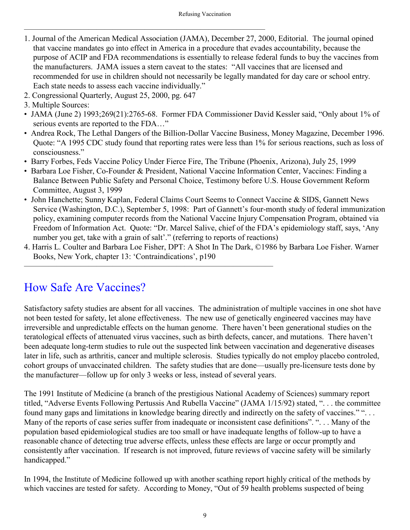- 1. Journal of the American Medical Association (JAMA), December 27, 2000, Editorial. The journal opined that vaccine mandates go into effect in America in a procedure that evades accountability, because the purpose of ACIP and FDA recommendations is essentially to release federal funds to buy the vaccines from the manufacturers. JAMA issues a stern caveat to the states: "All vaccines that are licensed and recommended for use in children should not necessarily be legally mandated for day care or school entry. Each state needs to assess each vaccine individually."
- 2. Congressional Quarterly, August 25, 2000, pg. 647

——————————————————————————————

———————————————————————————————

- 3. Multiple Sources:
- JAMA (June 2) 1993;269(21):2765-68. Former FDA Commissioner David Kessler said, "Only about 1% of serious events are reported to the FDA…"
- Andrea Rock, The Lethal Dangers of the Billion-Dollar Vaccine Business, Money Magazine, December 1996. Quote: "A 1995 CDC study found that reporting rates were less than 1% for serious reactions, such as loss of consciousness."
- Barry Forbes, Feds Vaccine Policy Under Fierce Fire, The Tribune (Phoenix, Arizona), July 25, 1999
- Barbara Loe Fisher, Co-Founder & President, National Vaccine Information Center, Vaccines: Finding a Balance Between Public Safety and Personal Choice, Testimony before U.S. House Government Reform Committee, August 3, 1999
- John Hanchette; Sunny Kaplan, Federal Claims Court Seems to Connect Vaccine & SIDS, Gannett News Service (Washington, D.C.), September 5, 1998: Part of Gannett's four-month study of federal immunization policy, examining computer records from the National Vaccine Injury Compensation Program, obtained via Freedom of Information Act. Quote: "Dr. Marcel Salive, chief of the FDA's epidemiology staff, says, 'Any number you get, take with a grain of salt'." (referring to reports of reactions)
- 4. Harris L. Coulter and Barbara Loe Fisher, DPT: A Shot In The Dark, ©1986 by Barbara Loe Fisher. Warner Books, New York, chapter 13: 'Contraindications', p190

## How Safe Are Vaccines?

Satisfactory safety studies are absent for all vaccines. The administration of multiple vaccines in one shot have not been tested for safety, let alone effectiveness. The new use of genetically engineered vaccines may have irreversible and unpredictable effects on the human genome. There haven't been generational studies on the teratological effects of attenuated virus vaccines, such as birth defects, cancer, and mutations. There haven't been adequate long-term studies to rule out the suspected link between vaccination and degenerative diseases later in life, such as arthritis, cancer and multiple sclerosis. Studies typically do not employ placebo controled, cohort groups of unvaccinated children. The safety studies that are done—usually pre-licensure tests done by the manufacturer—follow up for only 3 weeks or less, instead of several years.

The 1991 Institute of Medicine (a branch of the prestigious National Academy of Sciences) summary report titled, "Adverse Events Following Pertussis And Rubella Vaccine" (JAMA 1/15/92) stated, ". . . the committee found many gaps and limitations in knowledge bearing directly and indirectly on the safety of vaccines." ". . . Many of the reports of case series suffer from inadequate or inconsistent case definitions". ". . . Many of the population based epidemiological studies are too small or have inadequate lengths of follow-up to have a reasonable chance of detecting true adverse effects, unless these effects are large or occur promptly and consistently after vaccination. If research is not improved, future reviews of vaccine safety will be similarly handicapped."

In 1994, the Institute of Medicine followed up with another scathing report highly critical of the methods by which vaccines are tested for safety. According to Money, "Out of 59 health problems suspected of being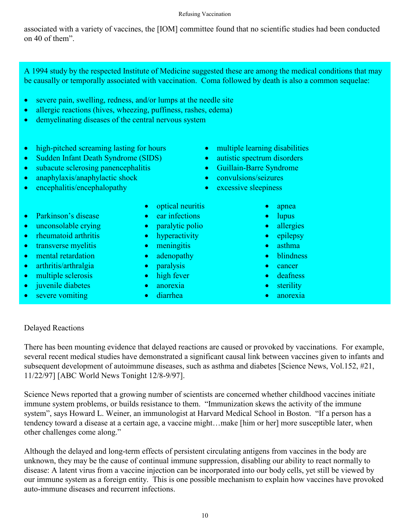associated with a variety of vaccines, the [IOM] committee found that no scientific studies had been conducted on 40 of them".

A 1994 study by the respected Institute of Medicine suggested these are among the medical conditions that may be causally or temporally associated with vaccination. Coma followed by death is also a common sequelae:

- severe pain, swelling, redness, and/or lumps at the needle site
- allergic reactions (hives, wheezing, puffiness, rashes, edema)
- demyelinating diseases of the central nervous system
- high-pitched screaming lasting for hours
- Sudden Infant Death Syndrome (SIDS)
- subacute sclerosing panencephalitis
- anaphylaxis/anaphylactic shock
- encephalitis/encephalopathy
- Parkinson's disease
- unconsolable crying
- rheumatoid arthritis
- transverse myelitis
- mental retardation
- arthritis/arthralgia
- multiple sclerosis
- juvenile diabetes
- severe vomiting
- optical neuritis
- ear infections
- paralytic polio
- hyperactivity
- meningitis
- adenopathy
- paralysis
- high fever
- anorexia
- · diarrhea
- multiple learning disabilities
- autistic spectrum disorders
- · Guillain-Barre Syndrome
- convulsions/seizures
- - apnea
	- lupus
	- allergies
	- epilepsy
	- asthma
	- blindness
	- cancer
	- · deafness
	- sterility
	- anorexia

### Delayed Reactions

There has been mounting evidence that delayed reactions are caused or provoked by vaccinations. For example, several recent medical studies have demonstrated a significant causal link between vaccines given to infants and subsequent development of autoimmune diseases, such as asthma and diabetes [Science News, Vol.152, #21, 11/22/97] [ABC World News Tonight 12/8-9/97].

Science News reported that a growing number of scientists are concerned whether childhood vaccines initiate immune system problems, or builds resistance to them. "Immunization skews the activity of the immune system", says Howard L. Weiner, an immunologist at Harvard Medical School in Boston. "If a person has a tendency toward a disease at a certain age, a vaccine might…make [him or her] more susceptible later, when other challenges come along."

Although the delayed and long-term effects of persistent circulating antigens from vaccines in the body are unknown, they may be the cause of continual immune suppression, disabling our ability to react normally to disease: A latent virus from a vaccine injection can be incorporated into our body cells, yet still be viewed by our immune system as a foreign entity. This is one possible mechanism to explain how vaccines have provoked auto-immune diseases and recurrent infections.

- 
- -
- excessive sleepiness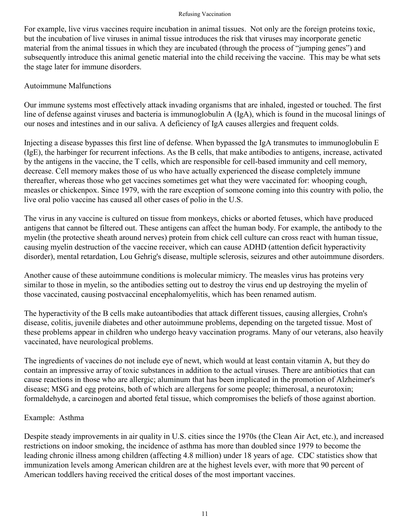For example, live virus vaccines require incubation in animal tissues. Not only are the foreign proteins toxic, but the incubation of live viruses in animal tissue introduces the risk that viruses may incorporate genetic material from the animal tissues in which they are incubated (through the process of "jumping genes") and subsequently introduce this animal genetic material into the child receiving the vaccine. This may be what sets the stage later for immune disorders.

### Autoimmune Malfunctions

Our immune systems most effectively attack invading organisms that are inhaled, ingested or touched. The first line of defense against viruses and bacteria is immunoglobulin A (IgA), which is found in the mucosal linings of our noses and intestines and in our saliva. A deficiency of IgA causes allergies and frequent colds.

Injecting a disease bypasses this first line of defense. When bypassed the IgA transmutes to immunoglobulin E (IgE), the harbinger for recurrent infections. As the B cells, that make antibodies to antigens, increase, activated by the antigens in the vaccine, the T cells, which are responsible for cell-based immunity and cell memory, decrease. Cell memory makes those of us who have actually experienced the disease completely immune thereafter, whereas those who get vaccines sometimes get what they were vaccinated for: whooping cough, measles or chickenpox. Since 1979, with the rare exception of someone coming into this country with polio, the live oral polio vaccine has caused all other cases of polio in the U.S.

The virus in any vaccine is cultured on tissue from monkeys, chicks or aborted fetuses, which have produced antigens that cannot be filtered out. These antigens can affect the human body. For example, the antibody to the myelin (the protective sheath around nerves) protein from chick cell culture can cross react with human tissue, causing myelin destruction of the vaccine receiver, which can cause ADHD (attention deficit hyperactivity disorder), mental retardation, Lou Gehrig's disease, multiple sclerosis, seizures and other autoimmune disorders.

Another cause of these autoimmune conditions is molecular mimicry. The measles virus has proteins very similar to those in myelin, so the antibodies setting out to destroy the virus end up destroying the myelin of those vaccinated, causing postvaccinal encephalomyelitis, which has been renamed autism.

The hyperactivity of the B cells make autoantibodies that attack different tissues, causing allergies, Crohn's disease, colitis, juvenile diabetes and other autoimmune problems, depending on the targeted tissue. Most of these problems appear in children who undergo heavy vaccination programs. Many of our veterans, also heavily vaccinated, have neurological problems.

The ingredients of vaccines do not include eye of newt, which would at least contain vitamin A, but they do contain an impressive array of toxic substances in addition to the actual viruses. There are antibiotics that can cause reactions in those who are allergic; aluminum that has been implicated in the promotion of Alzheimer's disease; MSG and egg proteins, both of which are allergens for some people; thimerosal, a neurotoxin; formaldehyde, a carcinogen and aborted fetal tissue, which compromises the beliefs of those against abortion.

### Example: Asthma

Despite steady improvements in air quality in U.S. cities since the 1970s (the Clean Air Act, etc.), and increased restrictions on indoor smoking, the incidence of asthma has more than doubled since 1979 to become the leading chronic illness among children (affecting 4.8 million) under 18 years of age. CDC statistics show that immunization levels among American children are at the highest levels ever, with more that 90 percent of American toddlers having received the critical doses of the most important vaccines.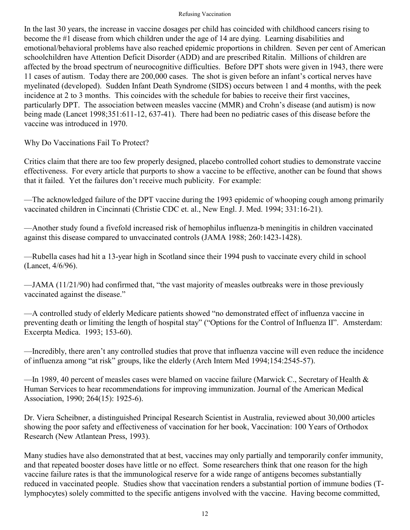In the last 30 years, the increase in vaccine dosages per child has coincided with childhood cancers rising to become the #1 disease from which children under the age of 14 are dying. Learning disabilities and emotional/behavioral problems have also reached epidemic proportions in children. Seven per cent of American schoolchildren have Attention Deficit Disorder (ADD) and are prescribed Ritalin. Millions of children are affected by the broad spectrum of neurocognitive difficulties. Before DPT shots were given in 1943, there were 11 cases of autism. Today there are 200,000 cases. The shot is given before an infant's cortical nerves have myelinated (developed). Sudden Infant Death Syndrome (SIDS) occurs between 1 and 4 months, with the peek incidence at 2 to 3 months. This coincides with the schedule for babies to receive their first vaccines, particularly DPT. The association between measles vaccine (MMR) and Crohn's disease (and autism) is now being made (Lancet 1998;351:611-12, 637-41). There had been no pediatric cases of this disease before the vaccine was introduced in 1970.

Why Do Vaccinations Fail To Protect?

Critics claim that there are too few properly designed, placebo controlled cohort studies to demonstrate vaccine effectiveness. For every article that purports to show a vaccine to be effective, another can be found that shows that it failed. Yet the failures don't receive much publicity. For example:

—The acknowledged failure of the DPT vaccine during the 1993 epidemic of whooping cough among primarily vaccinated children in Cincinnati (Christie CDC et. al., New Engl. J. Med. 1994; 331:16-21).

—Another study found a fivefold increased risk of hemophilus influenza-b meningitis in children vaccinated against this disease compared to unvaccinated controls (JAMA 1988; 260:1423-1428).

—Rubella cases had hit a 13-year high in Scotland since their 1994 push to vaccinate every child in school (Lancet, 4/6/96).

—JAMA (11/21/90) had confirmed that, "the vast majority of measles outbreaks were in those previously vaccinated against the disease."

—A controlled study of elderly Medicare patients showed "no demonstrated effect of influenza vaccine in preventing death or limiting the length of hospital stay" ("Options for the Control of Influenza II". Amsterdam: Excerpta Medica. 1993; 153-60).

—Incredibly, there aren't any controlled studies that prove that influenza vaccine will even reduce the incidence of influenza among "at risk" groups, like the elderly (Arch Intern Med 1994;154:2545-57).

—In 1989, 40 percent of measles cases were blamed on vaccine failure (Marwick C., Secretary of Health & Human Services to hear recommendations for improving immunization. Journal of the American Medical Association, 1990; 264(15): 1925-6).

Dr. Viera Scheibner, a distinguished Principal Research Scientist in Australia, reviewed about 30,000 articles showing the poor safety and effectiveness of vaccination for her book, Vaccination: 100 Years of Orthodox Research (New Atlantean Press, 1993).

Many studies have also demonstrated that at best, vaccines may only partially and temporarily confer immunity, and that repeated booster doses have little or no effect. Some researchers think that one reason for the high vaccine failure rates is that the immunological reserve for a wide range of antigens becomes substantially reduced in vaccinated people. Studies show that vaccination renders a substantial portion of immune bodies (Tlymphocytes) solely committed to the specific antigens involved with the vaccine. Having become committed,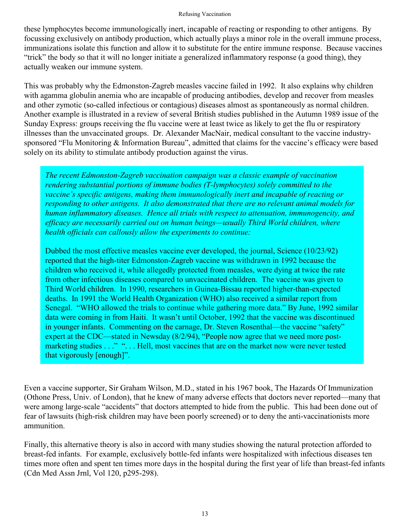these lymphocytes become immunologically inert, incapable of reacting or responding to other antigens. By focussing exclusively on antibody production, which actually plays a minor role in the overall immune process, immunizations isolate this function and allow it to substitute for the entire immune response. Because vaccines "trick" the body so that it will no longer initiate a generalized inflammatory response (a good thing), they actually weaken our immune system.

This was probably why the Edmonston-Zagreb measles vaccine failed in 1992. It also explains why children with agamma globulin anemia who are incapable of producing antibodies, develop and recover from measles and other zymotic (so-called infectious or contagious) diseases almost as spontaneously as normal children. Another example is illustrated in a review of several British studies published in the Autumn 1989 issue of the Sunday Express: groups receiving the flu vaccine were at least twice as likely to get the flu or respiratory illnesses than the unvaccinated groups. Dr. Alexander MacNair, medical consultant to the vaccine industrysponsored "Flu Monitoring & Information Bureau", admitted that claims for the vaccine's efficacy were based solely on its ability to stimulate antibody production against the virus.

*The recent Edmonston-Zagreb vaccination campaign was a classic example of vaccination rendering substantial portions of immune bodies (T-lymphocytes) solely committed to the vaccine's specific antigens, making them immunologically inert and incapable of reacting or responding to other antigens. It also demonstrated that there are no relevant animal models for human inflammatory diseases. Hence all trials with respect to attenuation, immunogencity, and efficacy are necessarily carried out on human beings—usually Third World children, where health officials can callously allow the experiments to continue:*

Dubbed the most effective measles vaccine ever developed, the journal, Science (10/23/92) reported that the high-titer Edmonston-Zagreb vaccine was withdrawn in 1992 because the children who received it, while allegedly protected from measles, were dying at twice the rate from other infectious diseases compared to unvaccinated children. The vaccine was given to Third World children. In 1990, researchers in Guinea-Bissau reported higher-than-expected deaths. In 1991 the World Health Organization (WHO) also received a similar report from Senegal. "WHO allowed the trials to continue while gathering more data." By June, 1992 similar data were coming in from Haiti. It wasn't until October, 1992 that the vaccine was discontinued in younger infants. Commenting on the carnage, Dr. Steven Rosenthal—the vaccine "safety" expert at the CDC—stated in Newsday (8/2/94), "People now agree that we need more postmarketing studies . . ." ". . . Hell, most vaccines that are on the market now were never tested that vigorously [enough]".

Even a vaccine supporter, Sir Graham Wilson, M.D., stated in his 1967 book, The Hazards Of Immunization (Othone Press, Univ. of London), that he knew of many adverse effects that doctors never reported—many that were among large-scale "accidents" that doctors attempted to hide from the public. This had been done out of fear of lawsuits (high-risk children may have been poorly screened) or to deny the anti-vaccinationists more ammunition.

Finally, this alternative theory is also in accord with many studies showing the natural protection afforded to breast-fed infants. For example, exclusively bottle-fed infants were hospitalized with infectious diseases ten times more often and spent ten times more days in the hospital during the first year of life than breast-fed infants (Cdn Med Assn Jrnl, Vol 120, p295-298).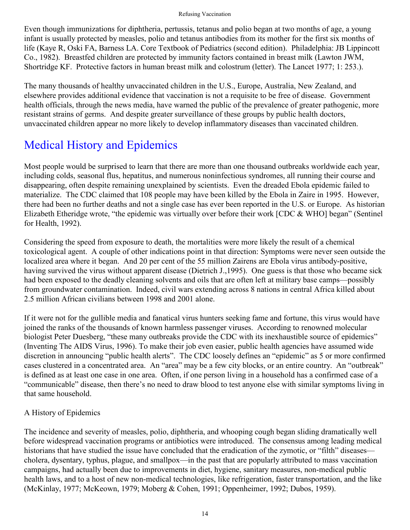Even though immunizations for diphtheria, pertussis, tetanus and polio began at two months of age, a young infant is usually protected by measles, polio and tetanus antibodies from its mother for the first six months of life (Kaye R, Oski FA, Barness LA. Core Textbook of Pediatrics (second edition). Philadelphia: JB Lippincott Co., 1982). Breastfed children are protected by immunity factors contained in breast milk (Lawton JWM, Shortridge KF. Protective factors in human breast milk and colostrum (letter). The Lancet 1977; 1: 253.).

The many thousands of healthy unvaccinated children in the U.S., Europe, Australia, New Zealand, and elsewhere provides additional evidence that vaccination is not a requisite to be free of disease. Government health officials, through the news media, have warned the public of the prevalence of greater pathogenic, more resistant strains of germs. And despite greater surveillance of these groups by public health doctors, unvaccinated children appear no more likely to develop inflammatory diseases than vaccinated children.

## Medical History and Epidemics

Most people would be surprised to learn that there are more than one thousand outbreaks worldwide each year, including colds, seasonal flus, hepatitus, and numerous noninfectious syndromes, all running their course and disappearing, often despite remaining unexplained by scientists. Even the dreaded Ebola epidemic failed to materialize. The CDC claimed that 108 people may have been killed by the Ebola in Zaire in 1995. However, there had been no further deaths and not a single case has ever been reported in the U.S. or Europe. As historian Elizabeth Etheridge wrote, "the epidemic was virtually over before their work [CDC & WHO] began" (Sentinel for Health, 1992).

Considering the speed from exposure to death, the mortalities were more likely the result of a chemical toxicological agent. A couple of other indications point in that direction: Symptoms were never seen outside the localized area where it began. And 20 per cent of the 55 million Zairens are Ebola virus antibody-positive, having survived the virus without apparent disease (Dietrich J.,1995). One guess is that those who became sick had been exposed to the deadly cleaning solvents and oils that are often left at military base camps—possibly from groundwater contamination. Indeed, civil wars extending across 8 nations in central Africa killed about 2.5 million African civilians between 1998 and 2001 alone.

If it were not for the gullible media and fanatical virus hunters seeking fame and fortune, this virus would have joined the ranks of the thousands of known harmless passenger viruses. According to renowned molecular biologist Peter Duesberg, "these many outbreaks provide the CDC with its inexhaustible source of epidemics" (Inventing The AIDS Virus, 1996). To make their job even easier, public health agencies have assumed wide discretion in announcing "public health alerts". The CDC loosely defines an "epidemic" as 5 or more confirmed cases clustered in a concentrated area. An "area" may be a few city blocks, or an entire country. An "outbreak" is defined as at least one case in one area. Often, if one person living in a household has a confirmed case of a "communicable" disease, then there's no need to draw blood to test anyone else with similar symptoms living in that same household.

## A History of Epidemics

The incidence and severity of measles, polio, diphtheria, and whooping cough began sliding dramatically well before widespread vaccination programs or antibiotics were introduced. The consensus among leading medical historians that have studied the issue have concluded that the eradication of the zymotic, or "filth" diseases cholera, dysentary, typhus, plague, and smallpox—in the past that are popularly attributed to mass vaccination campaigns, had actually been due to improvements in diet, hygiene, sanitary measures, non-medical public health laws, and to a host of new non-medical technologies, like refrigeration, faster transportation, and the like (McKinlay, 1977; McKeown, 1979; Moberg & Cohen, 1991; Oppenheimer, 1992; Dubos, 1959).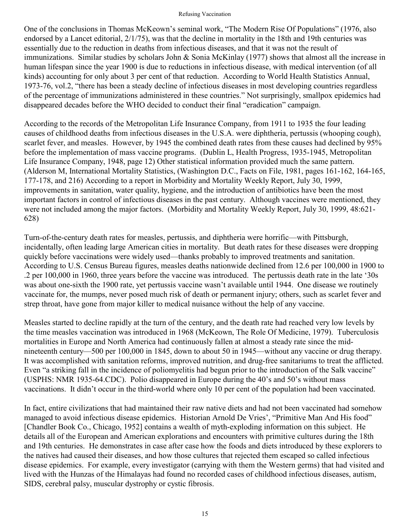One of the conclusions in Thomas McKeown's seminal work, "The Modern Rise Of Populations" (1976, also endorsed by a Lancet editorial, 2/1/75), was that the decline in mortality in the 18th and 19th centuries was essentially due to the reduction in deaths from infectious diseases, and that it was not the result of immunizations. Similar studies by scholars John & Sonia McKinlay (1977) shows that almost all the increase in human lifespan since the year 1900 is due to reductions in infectious disease, with medical intervention (of all kinds) accounting for only about 3 per cent of that reduction. According to World Health Statistics Annual, 1973-76, vol.2, "there has been a steady decline of infectious diseases in most developing countries regardless of the percentage of immunizations administered in these countries." Not surprisingly, smallpox epidemics had disappeared decades before the WHO decided to conduct their final "eradication" campaign.

According to the records of the Metropolitan Life Insurance Company, from 1911 to 1935 the four leading causes of childhood deaths from infectious diseases in the U.S.A. were diphtheria, pertussis (whooping cough), scarlet fever, and measles. However, by 1945 the combined death rates from these causes had declined by 95% before the implementation of mass vaccine programs. (Dublin L, Health Progress, 1935-1945, Metropolitan Life Insurance Company, 1948, page 12) Other statistical information provided much the same pattern. (Alderson M, International Mortality Statistics, (Washington D.C., Facts on File, 1981, pages 161-162, 164-165, 177-178, and 216) According to a report in Morbidity and Mortality Weekly Report, July 30, 1999, improvements in sanitation, water quality, hygiene, and the introduction of antibiotics have been the most important factors in control of infectious diseases in the past century. Although vaccines were mentioned, they were not included among the major factors. (Morbidity and Mortality Weekly Report, July 30, 1999, 48:621- 628)

Turn-of-the-century death rates for measles, pertussis, and diphtheria were horrific—with Pittsburgh, incidentally, often leading large American cities in mortality. But death rates for these diseases were dropping quickly before vaccinations were widely used—thanks probably to improved treatments and sanitation. According to U.S. Census Bureau figures, measles deaths nationwide declined from 12.6 per 100,000 in 1900 to .2 per 100,000 in 1960, three years before the vaccine was introduced. The pertussis death rate in the late '30s was about one-sixth the 1900 rate, yet pertussis vaccine wasn't available until 1944. One disease we routinely vaccinate for, the mumps, never posed much risk of death or permanent injury; others, such as scarlet fever and strep throat, have gone from major killer to medical nuisance without the help of any vaccine.

Measles started to decline rapidly at the turn of the century, and the death rate had reached very low levels by the time measles vaccination was introduced in 1968 (McKeown, The Role Of Medicine, 1979). Tuberculosis mortalities in Europe and North America had continuously fallen at almost a steady rate since the midnineteenth century—500 per 100,000 in 1845, down to about 50 in 1945—without any vaccine or drug therapy. It was accomplished with sanitation reforms, improved nutrition, and drug-free sanitariums to treat the afflicted. Even "a striking fall in the incidence of poliomyelitis had begun prior to the introduction of the Salk vaccine" (USPHS: NMR 1935-64.CDC). Polio disappeared in Europe during the 40's and 50's without mass vaccinations. It didn't occur in the third-world where only 10 per cent of the population had been vaccinated.

In fact, entire civilizations that had maintained their raw native diets and had not been vaccinated had somehow managed to avoid infectious disease epidemics. Historian Arnold De Vries', "Primitive Man And His food" [Chandler Book Co., Chicago, 1952] contains a wealth of myth-exploding information on this subject. He details all of the European and American explorations and encounters with primitive cultures during the 18th and 19th centuries. He demonstrates in case after case how the foods and diets introduced by these explorers to the natives had caused their diseases, and how those cultures that rejected them escaped so called infectious disease epidemics. For example, every investigator (carrying with them the Western germs) that had visited and lived with the Hunzas of the Himalayas had found no recorded cases of childhood infectious diseases, autism, SIDS, cerebral palsy, muscular dystrophy or cystic fibrosis.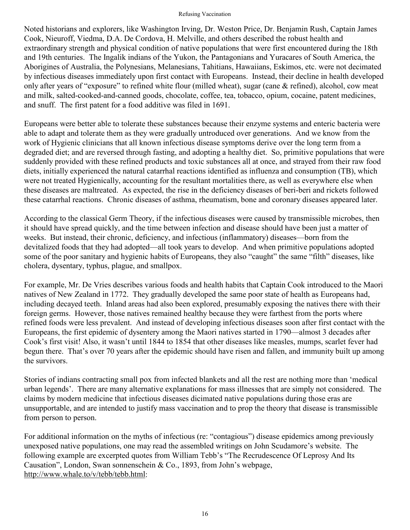Noted historians and explorers, like Washington Irving, Dr. Weston Price, Dr. Benjamin Rush, Captain James Cook, Nieuroff, Viedma, D.A. De Cordova, H. Melville, and others described the robust health and extraordinary strength and physical condition of native populations that were first encountered during the 18th and 19th centuries. The Ingalik indians of the Yukon, the Pantagonians and Yuracares of South America, the Aborigines of Australia, the Polynesians, Melanesians, Tahitians, Hawaiians, Eskimos, etc. were not decimated by infectious diseases immediately upon first contact with Europeans. Instead, their decline in health developed only after years of "exposure" to refined white flour (milled wheat), sugar (cane & refined), alcohol, cow meat and milk, salted-cooked-and-canned goods, chocolate, coffee, tea, tobacco, opium, cocaine, patent medicines, and snuff. The first patent for a food additive was filed in 1691.

Europeans were better able to tolerate these substances because their enzyme systems and enteric bacteria were able to adapt and tolerate them as they were gradually untroduced over generations. And we know from the work of Hygienic clinicians that all known infectious disease symptoms derive over the long term from a degraded diet; and are reversed through fasting, and adopting a healthy diet. So, primitive populations that were suddenly provided with these refined products and toxic substances all at once, and strayed from their raw food diets, initially experienced the natural catarrhal reactions identified as influenza and consumption (TB), which were not treated Hygienically, accounting for the resultant mortalities there, as well as everywhere else when these diseases are maltreated. As expected, the rise in the deficiency diseases of beri-beri and rickets followed these catarrhal reactions. Chronic diseases of asthma, rheumatism, bone and coronary diseases appeared later.

According to the classical Germ Theory, if the infectious diseases were caused by transmissible microbes, then it should have spread quickly, and the time between infection and disease should have been just a matter of weeks. But instead, their chronic, deficiency, and infectious (inflammatory) diseases—born from the devitalized foods that they had adopted—all took years to develop. And when primitive populations adopted some of the poor sanitary and hygienic habits of Europeans, they also "caught" the same "filth" diseases, like cholera, dysentary, typhus, plague, and smallpox.

For example, Mr. De Vries describes various foods and health habits that Captain Cook introduced to the Maori natives of New Zealand in 1772. They gradually developed the same poor state of health as Europeans had, including decayed teeth. Inland areas had also been explored, presumably exposing the natives there with their foreign germs. However, those natives remained healthy because they were farthest from the ports where refined foods were less prevalent. And instead of developing infectious diseases soon after first contact with the Europeans, the first epidemic of dysentery among the Maori natives started in 1790—almost 3 decades after Cook's first visit! Also, it wasn't until 1844 to 1854 that other diseases like measles, mumps, scarlet fever had begun there. That's over 70 years after the epidemic should have risen and fallen, and immunity built up among the survivors.

Stories of indians contracting small pox from infected blankets and all the rest are nothing more than 'medical urban legends'. There are many alternative explanations for mass illnesses that are simply not considered. The claims by modern medicine that infectious diseases dicimated native populations during those eras are unsupportable, and are intended to justify mass vaccination and to prop the theory that disease is transmissible from person to person.

For additional information on the myths of infectious (re: "contagious") disease epidemics among previously unexposed native populations, one may read the assembled writings on John Scudamore's website. The following example are excerpted quotes from William Tebb's "The Recrudescence Of Leprosy And Its Causation", London, Swan sonnenschein & Co., 1893, from John's webpage, <http://www.whale.to/v/tebb/tebb.html>: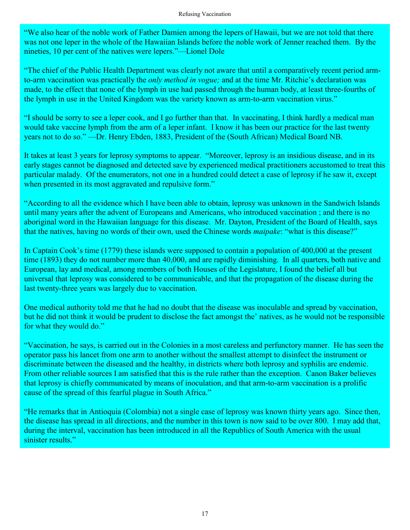"We also hear of the noble work of Father Damien among the lepers of Hawaii, but we are not told that there was not one leper in the whole of the Hawaiian Islands before the noble work of Jenner reached them. By the nineties, 10 per cent of the natives were lepers."—Lionel Dole

"The chief of the Public Health Department was clearly not aware that until a comparatively recent period armto-arm vaccination was practically the *only method in vogue;* and at the time Mr. Ritchie's declaration was made, to the effect that none of the lymph in use had passed through the human body, at least three-fourths of the lymph in use in the United Kingdom was the variety known as arm-to-arm vaccination virus."

"I should be sorry to see a leper cook, and I go further than that. In vaccinating, I think hardly a medical man would take vaccine lymph from the arm of a leper infant. I know it has been our practice for the last twenty years not to do so." —Dr. Henry Ebden, 1883, President of the (South African) Medical Board NB.

It takes at least 3 years for leprosy symptoms to appear. "Moreover, leprosy is an insidious disease, and in its early stages cannot be diagnosed and detected save by experienced medical practitioners accustomed to treat this particular malady. Of the enumerators, not one in a hundred could detect a case of leprosy if he saw it, except when presented in its most aggravated and repulsive form."

"According to all the evidence which I have been able to obtain, leprosy was unknown in the Sandwich Islands until many years after the advent of Europeans and Americans, who introduced vaccination ; and there is no aboriginal word in the Hawaiian language for this disease. Mr. Dayton, President of the Board of Health, says that the natives, having no words of their own, used the Chinese words *maipake*: "what is this disease?"

In Captain Cook's time (1779) these islands were supposed to contain a population of 400,000 at the present time (1893) they do not number more than 40,000, and are rapidly diminishing. In all quarters, both native and European, lay and medical, among members of both Houses of the Legislature, I found the belief all but universal that leprosy was considered to be communicable, and that the propagation of the disease during the last twenty-three years was largely due to vaccination.

One medical authority told me that he had no doubt that the disease was inoculable and spread by vaccination, but he did not think it would be prudent to disclose the fact amongst the' natives, as he would not be responsible for what they would do."

"Vaccination, he says, is carried out in the Colonies in a most careless and perfunctory manner. He has seen the operator pass his lancet from one arm to another without the smallest attempt to disinfect the instrument or discriminate between the diseased and the healthy, in districts where both leprosy and syphilis are endemic. From other reliable sources I am satisfied that this is the rule rather than the exception. Canon Baker believes that leprosy is chiefly communicated by means of inoculation, and that arm-to-arm vaccination is a prolific cause of the spread of this fearful plague in South Africa."

"He remarks that in Antioquia (Colombia) not a single case of leprosy was known thirty years ago. Since then, the disease has spread in all directions, and the number in this town is now said to be over 800. I may add that, during the interval, vaccination has been introduced in all the Republics of South America with the usual sinister results."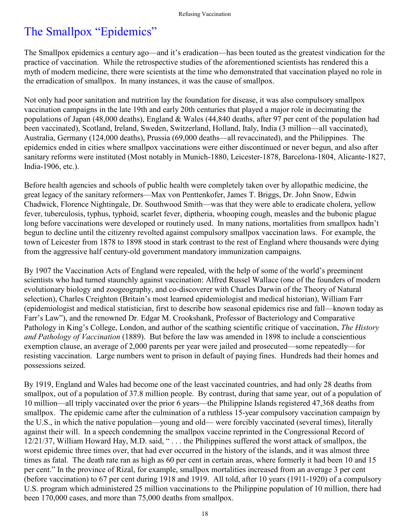## The Smallpox "Epidemics"

The Smallpox epidemics a century ago—and it's eradication—has been touted as the greatest vindication for the practice of vaccination. While the retrospective studies of the aforementioned scientists has rendered this a myth of modern medicine, there were scientists at the time who demonstrated that vaccination played no role in the erradication of smallpox. In many instances, it was the cause of smallpox.

Not only had poor sanitation and nutrition lay the foundation for disease, it was also compulsory smallpox vaccination campaigns in the late 19th and early 20th centuries that played a major role in decimating the populations of Japan (48,000 deaths), England & Wales (44,840 deaths, after 97 per cent of the population had been vaccinated), Scotland, Ireland, Sweden, Switzerland, Holland, Italy, India (3 million—all vaccinated), Australia, Germany (124,000 deaths), Prussia (69,000 deaths—all revaccinated), and the Philippines. The epidemics ended in cities where smallpox vaccinations were either discontinued or never begun, and also after sanitary reforms were instituted (Most notably in Munich-1880, Leicester-1878, Barcelona-1804, Alicante-1827, India-1906, etc.).

Before health agencies and schools of public health were completely taken over by allopathic medicine, the great legacy of the sanitary reformers—Max von Penttenkofer, James T. Briggs, Dr. John Snow, Edwin Chadwick, Florence Nightingale, Dr. Southwood Smith—was that they were able to eradicate cholera, yellow fever, tuberculosis, typhus, typhoid, scarlet fever, diptheria, whooping cough, measles and the bubonic plague long before vaccinations were developed or routinely used. In many nations, mortalities from smallpox hadn't begun to decline until the citizenry revolted against compulsory smallpox vaccination laws. For example, the town of Leicester from 1878 to 1898 stood in stark contrast to the rest of England where thousands were dying from the aggressive half century-old government mandatory immunization campaigns.

By 1907 the Vaccination Acts of England were repealed, with the help of some of the world's preeminent scientists who had turned staunchly against vaccination: Alfred Russel Wallace (one of the founders of modern evolutionary biology and zoogeography, and co-discoverer with Charles Darwin of the Theory of Natural selection), Charles Creighton (Britain's most learned epidemiologist and medical historian), William Farr (epidemiologist and medical statistician, first to describe how seasonal epidemics rise and fall—known today as Farr's Law"), and the renowned Dr. Edgar M. Crookshank, Professor of Bacteriology and Comparative Pathology in King's College, London, and author of the scathing scientific critique of vaccination, *The History and Pathology of Vaccination* (1889). But before the law was amended in 1898 to include a conscientious exemption clause, an average of 2,000 parents per year were jailed and prosecuted—some repeatedly—for resisting vaccination. Large numbers went to prison in default of paying fines. Hundreds had their homes and possessions seized.

By 1919, England and Wales had become one of the least vaccinated countries, and had only 28 deaths from smallpox, out of a population of 37.8 million people. By contrast, during that same year, out of a population of 10 million—all triply vaccinated over the prior 6 years—the Philippine Islands registered 47,368 deaths from smallpox. The epidemic came after the culmination of a ruthless 15-year compulsory vaccination campaign by the U.S., in which the native population—young and old— were forcibly vaccinated (several times), literally against their will. In a speech condemning the smallpox vaccine reprinted in the Congressional Record of 12/21/37, William Howard Hay, M.D. said, " . . . the Philippines suffered the worst attack of smallpox, the worst epidemic three times over, that had ever occurred in the history of the islands, and it was almost three times as fatal. The death rate ran as high as 60 per cent in certain areas, where formerly it had been 10 and 15 per cent." In the province of Rizal, for example, smallpox mortalities increased from an average 3 per cent (before vaccination) to 67 per cent during 1918 and 1919. All told, after 10 years (1911-1920) of a compulsory U.S. program which administered 25 million vaccinations to the Philippine population of 10 million, there had been 170,000 cases, and more than 75,000 deaths from smallpox.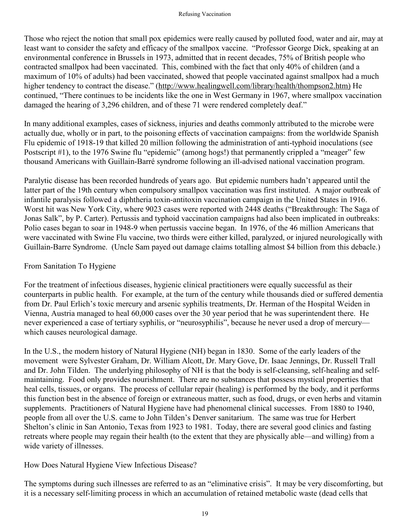Those who reject the notion that small pox epidemics were really caused by polluted food, water and air, may at least want to consider the safety and efficacy of the smallpox vaccine. "Professor George Dick, speaking at an environmental conference in Brussels in 1973, admitted that in recent decades, 75% of British people who contracted smallpox had been vaccinated. This, combined with the fact that only 40% of children (and a maximum of 10% of adults) had been vaccinated, showed that people vaccinated against smallpox had a much higher tendency to contract the disease." ([http://www.healingwell.com/library/health/thompson2.htm\)](http://www.healingwell.com/library/health/thompson2.htm)) He continued, "There continues to be incidents like the one in West Germany in 1967, where smallpox vaccination damaged the hearing of 3,296 children, and of these 71 were rendered completely deaf."

In many additional examples, cases of sickness, injuries and deaths commonly attributed to the microbe were actually due, wholly or in part, to the poisoning effects of vaccination campaigns: from the worldwide Spanish Flu epidemic of 1918-19 that killed 20 million following the administration of anti-typhoid inoculations (see Postscript #1), to the 1976 Swine flu "epidemic" (among hogs!) that permanently crippled a "meager" few thousand Americans with Guillain-Barré syndrome following an ill-advised national vaccination program.

Paralytic disease has been recorded hundreds of years ago. But epidemic numbers hadn't appeared until the latter part of the 19th century when compulsory smallpox vaccination was first instituted. A major outbreak of infantile paralysis followed a diphtheria toxin-antitoxin vaccination campaign in the United States in 1916. Worst hit was New York City, where 9023 cases were reported with 2448 deaths ("Breakthrough: The Saga of Jonas Salk", by P. Carter). Pertussis and typhoid vaccination campaigns had also been implicated in outbreaks: Polio cases began to soar in 1948-9 when pertussis vaccine began. In 1976, of the 46 million Americans that were vaccinated with Swine Flu vaccine, two thirds were either killed, paralyzed, or injured neurologically with Guillain-Barre Syndrome. (Uncle Sam payed out damage claims totalling almost \$4 billion from this debacle.)

## From Sanitation To Hygiene

For the treatment of infectious diseases, hygienic clinical practitioners were equally successful as their counterparts in public health. For example, at the turn of the century while thousands died or suffered dementia from Dr. Paul Erlich's toxic mercury and arsenic syphilis treatments, Dr. Herman of the Hospital Weiden in Vienna, Austria managed to heal 60,000 cases over the 30 year period that he was superintendent there. He never experienced a case of tertiary syphilis, or "neurosyphilis", because he never used a drop of mercury which causes neurological damage.

In the U.S., the modern history of Natural Hygiene (NH) began in 1830. Some of the early leaders of the movement were Sylvester Graham, Dr. William Alcott, Dr. Mary Gove, Dr. Isaac Jennings, Dr. Russell Trall and Dr. John Tilden. The underlying philosophy of NH is that the body is self-cleansing, self-healing and selfmaintaining. Food only provides nourishment. There are no substances that possess mystical properties that heal cells, tissues, or organs. The process of cellular repair (healing) is performed by the body, and it performs this function best in the absence of foreign or extraneous matter, such as food, drugs, or even herbs and vitamin supplements. Practitioners of Natural Hygiene have had phenomenal clinical successes. From 1880 to 1940, people from all over the U.S. came to John Tilden's Denver sanitarium. The same was true for Herbert Shelton's clinic in San Antonio, Texas from 1923 to 1981. Today, there are several good clinics and fasting retreats where people may regain their health (to the extent that they are physically able—and willing) from a wide variety of illnesses.

How Does Natural Hygiene View Infectious Disease?

The symptoms during such illnesses are referred to as an "eliminative crisis". It may be very discomforting, but it is a necessary self-limiting process in which an accumulation of retained metabolic waste (dead cells that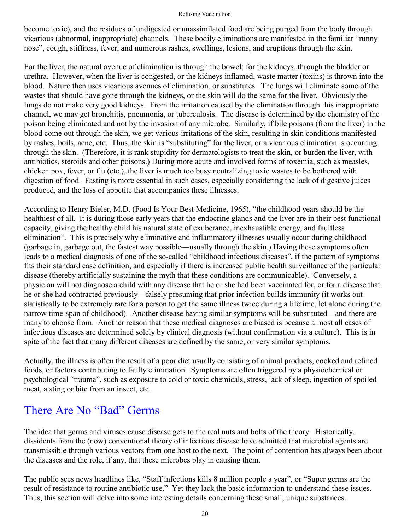become toxic), and the residues of undigested or unassimilated food are being purged from the body through vicarious (abnormal, inappropriate) channels. These bodily eliminations are manifested in the familiar "runny nose", cough, stiffness, fever, and numerous rashes, swellings, lesions, and eruptions through the skin.

For the liver, the natural avenue of elimination is through the bowel; for the kidneys, through the bladder or urethra. However, when the liver is congested, or the kidneys inflamed, waste matter (toxins) is thrown into the blood. Nature then uses vicarious avenues of elimination, or substitutes. The lungs will eliminate some of the wastes that should have gone through the kidneys, or the skin will do the same for the liver. Obviously the lungs do not make very good kidneys. From the irritation caused by the elimination through this inappropriate channel, we may get bronchitis, pneumonia, or tuberculosis. The disease is determined by the chemistry of the poison being eliminated and not by the invasion of any microbe. Similarly, if bile poisons (from the liver) in the blood come out through the skin, we get various irritations of the skin, resulting in skin conditions manifested by rashes, boils, acne, etc. Thus, the skin is "substituting" for the liver, or a vicarious elimination is occurring through the skin. (Therefore, it is rank stupidity for dermatologists to treat the skin, or burden the liver, with antibiotics, steroids and other poisons.) During more acute and involved forms of toxemia, such as measles, chicken pox, fever, or flu (etc.), the liver is much too busy neutralizing toxic wastes to be bothered with digestion of food. Fasting is more essential in such cases, especially considering the lack of digestive juices produced, and the loss of appetite that accompanies these illnesses.

According to Henry Bieler, M.D. (Food Is Your Best Medicine, 1965), "the childhood years should be the healthiest of all. It is during those early years that the endocrine glands and the liver are in their best functional capacity, giving the healthy child his natural state of exuberance, inexhaustible energy, and faultless elimination". This is precisely why eliminative and inflammatory illnesses usually occur during childhood (garbage in, garbage out, the fastest way possible—usually through the skin.) Having these symptoms often leads to a medical diagnosis of one of the so-called "childhood infectious diseases", if the pattern of symptoms fits their standard case definition, and especially if there is increased public health surveillance of the particular disease (thereby artificially sustaining the myth that these conditions are communicable). Conversely, a physician will not diagnose a child with any disease that he or she had been vaccinated for, or for a disease that he or she had contracted previously—falsely presuming that prior infection builds immunity (it works out statistically to be extremely rare for a person to get the same illness twice during a lifetime, let alone during the narrow time-span of childhood). Another disease having similar symptoms will be substituted—and there are many to choose from. Another reason that these medical diagnoses are biased is because almost all cases of infectious diseases are determined solely by clinical diagnosis (without confirmation via a culture). This is in spite of the fact that many different diseases are defined by the same, or very similar symptoms.

Actually, the illness is often the result of a poor diet usually consisting of animal products, cooked and refined foods, or factors contributing to faulty elimination. Symptoms are often triggered by a physiochemical or psychological "trauma", such as exposure to cold or toxic chemicals, stress, lack of sleep, ingestion of spoiled meat, a sting or bite from an insect, etc.

## There Are No "Bad" Germs

The idea that germs and viruses cause disease gets to the real nuts and bolts of the theory. Historically, dissidents from the (now) conventional theory of infectious disease have admitted that microbial agents are transmissible through various vectors from one host to the next. The point of contention has always been about the diseases and the role, if any, that these microbes play in causing them.

The public sees news headlines like, "Staff infections kills 8 million people a year", or "Super germs are the result of resistance to routine antibiotic use." Yet they lack the basic information to understand these issues. Thus, this section will delve into some interesting details concerning these small, unique substances.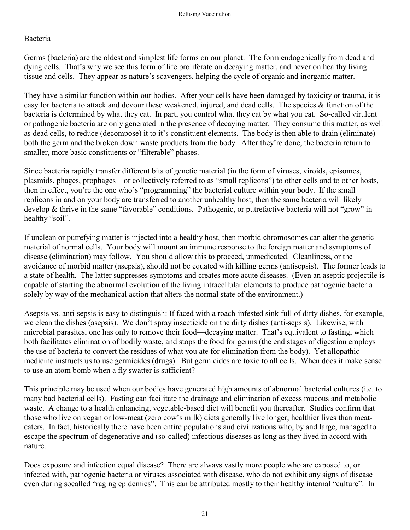## Bacteria

Germs (bacteria) are the oldest and simplest life forms on our planet. The form endogenically from dead and dying cells. That's why we see this form of life proliferate on decaying matter, and never on healthy living tissue and cells. They appear as nature's scavengers, helping the cycle of organic and inorganic matter.

They have a similar function within our bodies. After your cells have been damaged by toxicity or trauma, it is easy for bacteria to attack and devour these weakened, injured, and dead cells. The species & function of the bacteria is determined by what they eat. In part, you control what they eat by what you eat. So-called virulent or pathogenic bacteria are only generated in the presence of decaying matter. They consume this matter, as well as dead cells, to reduce (decompose) it to it's constituent elements. The body is then able to drain (eliminate) both the germ and the broken down waste products from the body. After they're done, the bacteria return to smaller, more basic constituents or "filterable" phases.

Since bacteria rapidly transfer different bits of genetic material (in the form of viruses, viroids, episomes, plasmids, phages, prophages—or collectively referred to as "small replicons") to other cells and to other hosts, then in effect, you're the one who's "programming" the bacterial culture within your body. If the small replicons in and on your body are transferred to another unhealthy host, then the same bacteria will likely develop & thrive in the same "favorable" conditions. Pathogenic, or putrefactive bacteria will not "grow" in healthy "soil".

If unclean or putrefying matter is injected into a healthy host, then morbid chromosomes can alter the genetic material of normal cells. Your body will mount an immune response to the foreign matter and symptoms of disease (elimination) may follow. You should allow this to proceed, unmedicated. Cleanliness, or the avoidance of morbid matter (asepsis), should not be equated with killing germs (antisepsis). The former leads to a state of health. The latter suppresses symptoms and creates more acute diseases. (Even an aseptic projectile is capable of starting the abnormal evolution of the living intracellular elements to produce pathogenic bacteria solely by way of the mechanical action that alters the normal state of the environment.)

Asepsis vs. anti-sepsis is easy to distinguish: If faced with a roach-infested sink full of dirty dishes, for example, we clean the dishes (asepsis). We don't spray insecticide on the dirty dishes (anti-sepsis). Likewise, with microbial parasites, one has only to remove their food—decaying matter. That's equivalent to fasting, which both facilitates elimination of bodily waste, and stops the food for germs (the end stages of digestion employs the use of bacteria to convert the residues of what you ate for elimination from the body). Yet allopathic medicine instructs us to use germicides (drugs). But germicides are toxic to all cells. When does it make sense to use an atom bomb when a fly swatter is sufficient?

This principle may be used when our bodies have generated high amounts of abnormal bacterial cultures (i.e. to many bad bacterial cells). Fasting can facilitate the drainage and elimination of excess mucous and metabolic waste. A change to a health enhancing, vegetable-based diet will benefit you thereafter. Studies confirm that those who live on vegan or low-meat (zero cow's milk) diets generally live longer, healthier lives than meateaters. In fact, historically there have been entire populations and civilizations who, by and large, managed to escape the spectrum of degenerative and (so-called) infectious diseases as long as they lived in accord with nature.

Does exposure and infection equal disease? There are always vastly more people who are exposed to, or infected with, pathogenic bacteria or viruses associated with disease, who do not exhibit any signs of disease even during socalled "raging epidemics". This can be attributed mostly to their healthy internal "culture". In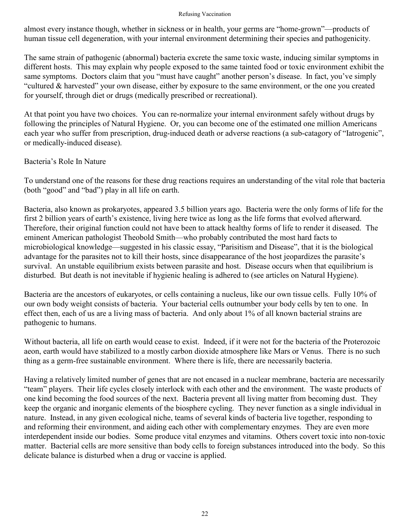almost every instance though, whether in sickness or in health, your germs are "home-grown"—products of human tissue cell degeneration, with your internal environment determining their species and pathogenicity.

The same strain of pathogenic (abnormal) bacteria excrete the same toxic waste, inducing similar symptoms in different hosts. This may explain why people exposed to the same tainted food or toxic environment exhibit the same symptoms. Doctors claim that you "must have caught" another person's disease. In fact, you've simply "cultured & harvested" your own disease, either by exposure to the same environment, or the one you created for yourself, through diet or drugs (medically prescribed or recreational).

At that point you have two choices. You can re-normalize your internal environment safely without drugs by following the principles of Natural Hygiene. Or, you can become one of the estimated one million Americans each year who suffer from prescription, drug-induced death or adverse reactions (a sub-catagory of "Iatrogenic", or medically-induced disease).

### Bacteria's Role In Nature

To understand one of the reasons for these drug reactions requires an understanding of the vital role that bacteria (both "good" and "bad") play in all life on earth.

Bacteria, also known as prokaryotes, appeared 3.5 billion years ago. Bacteria were the only forms of life for the first 2 billion years of earth's existence, living here twice as long as the life forms that evolved afterward. Therefore, their original function could not have been to attack healthy forms of life to render it diseased. The eminent American pathologist Theobold Smith—who probably contributed the most hard facts to microbiological knowledge—suggested in his classic essay, "Parisitism and Disease", that it is the biological advantage for the parasites not to kill their hosts, since disappearance of the host jeopardizes the parasite's survival. An unstable equilibrium exists between parasite and host. Disease occurs when that equilibrium is disturbed. But death is not inevitable if hygienic healing is adhered to (see articles on Natural Hygiene).

Bacteria are the ancestors of eukaryotes, or cells containing a nucleus, like our own tissue cells. Fully 10% of our own body weight consists of bacteria. Your bacterial cells outnumber your body cells by ten to one. In effect then, each of us are a living mass of bacteria. And only about 1% of all known bacterial strains are pathogenic to humans.

Without bacteria, all life on earth would cease to exist. Indeed, if it were not for the bacteria of the Proterozoic aeon, earth would have stabilized to a mostly carbon dioxide atmosphere like Mars or Venus. There is no such thing as a germ-free sustainable environment. Where there is life, there are necessarily bacteria.

Having a relatively limited number of genes that are not encased in a nuclear membrane, bacteria are necessarily "team" players. Their life cycles closely interlock with each other and the environment. The waste products of one kind becoming the food sources of the next. Bacteria prevent all living matter from becoming dust. They keep the organic and inorganic elements of the biosphere cycling. They never function as a single individual in nature. Instead, in any given ecological niche, teams of several kinds of bacteria live together, responding to and reforming their environment, and aiding each other with complementary enzymes. They are even more interdependent inside our bodies. Some produce vital enzymes and vitamins. Others covert toxic into non-toxic matter. Bacterial cells are more sensitive than body cells to foreign substances introduced into the body. So this delicate balance is disturbed when a drug or vaccine is applied.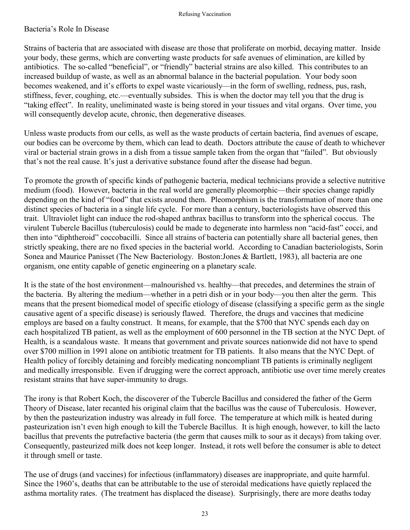### Bacteria's Role In Disease

Strains of bacteria that are associated with disease are those that proliferate on morbid, decaying matter. Inside your body, these germs, which are converting waste products for safe avenues of elimination, are killed by antibiotics. The so-called "beneficial", or "friendly" bacterial strains are also killed. This contributes to an increased buildup of waste, as well as an abnormal balance in the bacterial population. Your body soon becomes weakened, and it's efforts to expel waste vicariously—in the form of swelling, redness, pus, rash, stiffness, fever, coughing, etc.—eventually subsides. This is when the doctor may tell you that the drug is "taking effect". In reality, uneliminated waste is being stored in your tissues and vital organs. Over time, you will consequently develop acute, chronic, then degenerative diseases.

Unless waste products from our cells, as well as the waste products of certain bacteria, find avenues of escape, our bodies can be overcome by them, which can lead to death. Doctors attribute the cause of death to whichever viral or bacterial strain grows in a dish from a tissue sample taken from the organ that "failed". But obviously that's not the real cause. It's just a derivative substance found after the disease had begun.

To promote the growth of specific kinds of pathogenic bacteria, medical technicians provide a selective nutritive medium (food). However, bacteria in the real world are generally pleomorphic—their species change rapidly depending on the kind of "food" that exists around them. Pleomorphism is the transformation of more than one distinct species of bacteria in a single life cycle. For more than a century, bacteriologists have observed this trait. Ultraviolet light can induce the rod-shaped anthrax bacillus to transform into the spherical coccus. The virulent Tubercle Bacillus (tuberculosis) could be made to degenerate into harmless non "acid-fast" cocci, and then into "diphtheroid" coccobacilli. Since all strains of bacteria can potentially share all bacterial genes, then strictly speaking, there are no fixed species in the bacterial world. According to Canadian bacteriologists, Sorin Sonea and Maurice Panisset (The New Bacteriology. Boston:Jones & Bartlett, 1983), all bacteria are one organism, one entity capable of genetic engineering on a planetary scale.

It is the state of the host environment—malnourished vs. healthy—that precedes, and determines the strain of the bacteria. By altering the medium—whether in a petri dish or in your body—you then alter the germ. This means that the present biomedical model of specific etiology of disease (classifying a specific germ as the single causative agent of a specific disease) is seriously flawed. Therefore, the drugs and vaccines that medicine employs are based on a faulty construct. It means, for example, that the \$700 that NYC spends each day on each hospitalized TB patient, as well as the employment of 600 personnel in the TB section at the NYC Dept. of Health, is a scandalous waste. It means that government and private sources nationwide did not have to spend over \$700 million in 1991 alone on antibiotic treatment for TB patients. It also means that the NYC Dept. of Health policy of forcibly detaining and forcibly medicating noncompliant TB patients is criminally negligent and medically irresponsible. Even if drugging were the correct approach, antibiotic use over time merely creates resistant strains that have super-immunity to drugs.

The irony is that Robert Koch, the discoverer of the Tubercle Bacillus and considered the father of the Germ Theory of Disease, later recanted his original claim that the bacillus was the cause of Tuberculosis. However, by then the pasteurization industry was already in full force. The temperature at which milk is heated during pasteurization isn't even high enough to kill the Tubercle Bacillus. It is high enough, however, to kill the lacto bacillus that prevents the putrefactive bacteria (the germ that causes milk to sour as it decays) from taking over. Consequently, pasteurized milk does not keep longer. Instead, it rots well before the consumer is able to detect it through smell or taste.

The use of drugs (and vaccines) for infectious (inflammatory) diseases are inappropriate, and quite harmful. Since the 1960's, deaths that can be attributable to the use of steroidal medications have quietly replaced the asthma mortality rates. (The treatment has displaced the disease). Surprisingly, there are more deaths today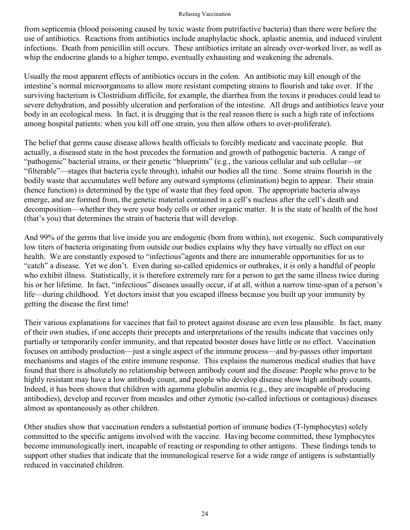from septicemia (blood poisoning caused by toxic waste from putrifactive bacteria) than there were before the use of antibiotics. Reactions from antibiotics include anaphylactic shock, aplastic anemia, and induced virulent infections. Death from penicillin still occurs. These antibiotics irritate an already over-worked liver, as well as whip the endocrine glands to a higher tempo, eventually exhausting and weakening the adrenals.

Usually the most apparent effects of antibiotics occurs in the colon. An antibiotic may kill enough of the intestine's normal microorganisms to allow more resistant competing strains to flourish and take over. If the surviving bacterium is Clostridium difficile, for example, the diarrhea from the toxins it produces could lead to severe dehydration, and possibly ulceration and perforation of the intestine. All drugs and antibiotics leave your body in an ecological mess. In fact, it is drugging that is the real reason there is such a high rate of infections among hospital patients: when you kill off one strain, you then allow others to over-proliferate).

The belief that germs cause disease allows health officials to forcibly medicate and vaccinate people. But actually, a diseased state in the host precedes the formation and growth of pathogenic bacteria. A range of "pathogenic" bacterial strains, or their genetic "blueprints" (e.g., the various cellular and sub cellular—or "filterable"—stages that bacteria cycle through), inhabit our bodies all the time. Some strains flourish in the bodily waste that accumulates well before any outward symptoms (elimination) begin to appear. Their strain (hence function) is determined by the type of waste that they feed upon. The appropriate bacteria always emerge, and are formed from, the genetic material contained in a cell's nucleus after the cell's death and decomposition—whether they were your body cells or other organic matter. It is the state of health of the host (that's you) that determines the strain of bacteria that will develop.

And 99% of the germs that live inside you are endogenic (born from within), not exogenic. Such comparatively low titers of bacteria originating from outside our bodies explains why they have virtually no effect on our health. We are constantly exposed to "infectious"agents and there are innumerable opportunities for us to "catch" a disease. Yet we don't. Even during so-called epidemics or outbrakes, it is only a handful of people who exhibit illness. Statistically, it is therefore extremely rare for a person to get the same illness twice during his or her lifetime. In fact, "infectious" diseases usually occur, if at all, within a narrow time-span of a person's life—during childhood. Yet doctors insist that you escaped illness because you built up your immunity by getting the disease the first time!

Their various explanations for vaccines that fail to protect against disease are even less plausible. In fact, many of their own studies, if one accepts their precepts and interpretations of the results indicate that vaccines only partially or temporarily confer immunity, and that repeated booster doses have little or no effect. Vaccination focuses on antibody production—just a single aspect of the immune process—and by-passes other important mechanisms and stages of the entire immune response. This explains the numerous medical studies that have found that there is absolutely no relationship between antibody count and the disease: People who prove to be highly resistant may have a low antibody count, and people who develop disease show high antibody counts. Indeed, it has been shown that children with agamma globulin anemia (e.g., they are incapable of producing antibodies), develop and recover from measles and other zymotic (so-called infectious or contagious) diseases almost as spontaneously as other children.

Other studies show that vaccination renders a substantial portion of immune bodies (T-lymphocytes) solely committed to the specific antigens involved with the vaccine. Having become committed, these lymphocytes become immunologically inert, incapable of reacting or responding to other antigens. These findings tends to support other studies that indicate that the immunological reserve for a wide range of antigens is substantially reduced in vaccinated children.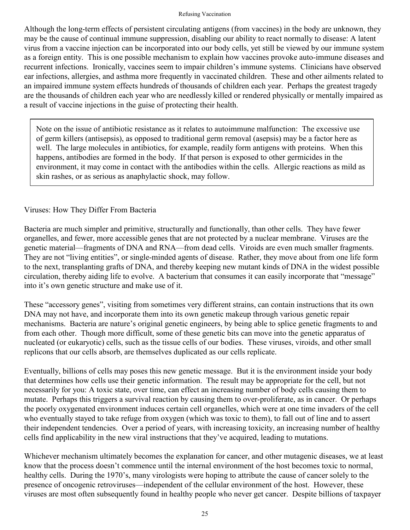Although the long-term effects of persistent circulating antigens (from vaccines) in the body are unknown, they may be the cause of continual immune suppression, disabling our ability to react normally to disease: A latent virus from a vaccine injection can be incorporated into our body cells, yet still be viewed by our immune system as a foreign entity. This is one possible mechanism to explain how vaccines provoke auto-immune diseases and recurrent infections. Ironically, vaccines seem to impair children's immune systems. Clinicians have observed ear infections, allergies, and asthma more frequently in vaccinated children. These and other ailments related to an impaired immune system effects hundreds of thousands of children each year. Perhaps the greatest tragedy are the thousands of children each year who are needlessly killed or rendered physically or mentally impaired as a result of vaccine injections in the guise of protecting their health.

Note on the issue of antibiotic resistance as it relates to autoimmune malfunction: The excessive use of germ killers (antisepsis), as opposed to traditional germ removal (asepsis) may be a factor here as well. The large molecules in antibiotics, for example, readily form antigens with proteins. When this happens, antibodies are formed in the body. If that person is exposed to other germicides in the environment, it may come in contact with the antibodies within the cells. Allergic reactions as mild as skin rashes, or as serious as anaphylactic shock, may follow.

### Viruses: How They Differ From Bacteria

Bacteria are much simpler and primitive, structurally and functionally, than other cells. They have fewer organelles, and fewer, more accessible genes that are not protected by a nuclear membrane. Viruses are the genetic material—fragments of DNA and RNA—from dead cells. Viroids are even much smaller fragments. They are not "living entities", or single-minded agents of disease. Rather, they move about from one life form to the next, transplanting grafts of DNA, and thereby keeping new mutant kinds of DNA in the widest possible circulation, thereby aiding life to evolve. A bacterium that consumes it can easily incorporate that "message" into it's own genetic structure and make use of it.

These "accessory genes", visiting from sometimes very different strains, can contain instructions that its own DNA may not have, and incorporate them into its own genetic makeup through various genetic repair mechanisms. Bacteria are nature's original genetic engineers, by being able to splice genetic fragments to and from each other. Though more difficult, some of these genetic bits can move into the genetic apparatus of nucleated (or eukaryotic) cells, such as the tissue cells of our bodies. These viruses, viroids, and other small replicons that our cells absorb, are themselves duplicated as our cells replicate.

Eventually, billions of cells may poses this new genetic message. But it is the environment inside your body that determines how cells use their genetic information. The result may be appropriate for the cell, but not necessarily for you: A toxic state, over time, can effect an increasing number of body cells causing them to mutate. Perhaps this triggers a survival reaction by causing them to over-proliferate, as in cancer. Or perhaps the poorly oxygenated environment induces certain cell organelles, which were at one time invaders of the cell who eventually stayed to take refuge from oxygen (which was toxic to them), to fall out of line and to assert their independent tendencies. Over a period of years, with increasing toxicity, an increasing number of healthy cells find applicability in the new viral instructions that they've acquired, leading to mutations.

Whichever mechanism ultimately becomes the explanation for cancer, and other mutagenic diseases, we at least know that the process doesn't commence until the internal environment of the host becomes toxic to normal, healthy cells. During the 1970's, many virologists were hoping to attribute the cause of cancer solely to the presence of oncogenic retroviruses—independent of the cellular environment of the host. However, these viruses are most often subsequently found in healthy people who never get cancer. Despite billions of taxpayer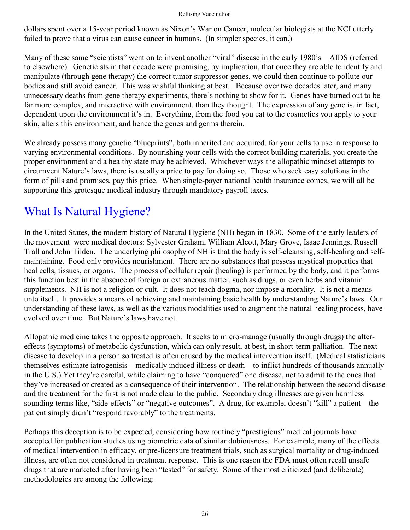dollars spent over a 15-year period known as Nixon's War on Cancer, molecular biologists at the NCI utterly failed to prove that a virus can cause cancer in humans. (In simpler species, it can.)

Many of these same "scientists" went on to invent another "viral" disease in the early 1980's—AIDS (referred to elsewhere). Geneticists in that decade were promising, by implication, that once they are able to identify and manipulate (through gene therapy) the correct tumor suppressor genes, we could then continue to pollute our bodies and still avoid cancer. This was wishful thinking at best. Because over two decades later, and many unnecessary deaths from gene therapy experiments, there's nothing to show for it. Genes have turned out to be far more complex, and interactive with environment, than they thought. The expression of any gene is, in fact, dependent upon the environment it's in. Everything, from the food you eat to the cosmetics you apply to your skin, alters this environment, and hence the genes and germs therein.

We already possess many genetic "blueprints", both inherited and acquired, for your cells to use in response to varying environmental conditions. By nourishing your cells with the correct building materials, you create the proper environment and a healthy state may be achieved. Whichever ways the allopathic mindset attempts to circumvent Nature's laws, there is usually a price to pay for doing so. Those who seek easy solutions in the form of pills and promises, pay this price. When single-payer national health insurance comes, we will all be supporting this grotesque medical industry through mandatory payroll taxes.

## What Is Natural Hygiene?

In the United States, the modern history of Natural Hygiene (NH) began in 1830. Some of the early leaders of the movement were medical doctors: Sylvester Graham, William Alcott, Mary Grove, Isaac Jennings, Russell Trall and John Tilden. The underlying philosophy of NH is that the body is self-cleansing, self-healing and selfmaintaining. Food only provides nourishment. There are no substances that possess mystical properties that heal cells, tissues, or organs. The process of cellular repair (healing) is performed by the body, and it performs this function best in the absence of foreign or extraneous matter, such as drugs, or even herbs and vitamin supplements. NH is not a religion or cult. It does not teach dogma, nor impose a morality. It is not a means unto itself. It provides a means of achieving and maintaining basic health by understanding Nature's laws. Our understanding of these laws, as well as the various modalities used to augment the natural healing process, have evolved over time. But Nature's laws have not.

Allopathic medicine takes the opposite approach. It seeks to micro-manage (usually through drugs) the aftereffects (symptoms) of metabolic dysfunction, which can only result, at best, in short-term palliation. The next disease to develop in a person so treated is often caused by the medical intervention itself. (Medical statisticians themselves estimate iatrogenisis—medically induced illness or death—to inflict hundreds of thousands annually in the U.S.) Yet they're careful, while claiming to have "conquered" one disease, not to admit to the ones that they've increased or created as a consequence of their intervention. The relationship between the second disease and the treatment for the first is not made clear to the public. Secondary drug illnesses are given harmless sounding terms like, "side-effects" or "negative outcomes". A drug, for example, doesn't "kill" a patient—the patient simply didn't "respond favorably" to the treatments.

Perhaps this deception is to be expected, considering how routinely "prestigious" medical journals have accepted for publication studies using biometric data of similar dubiousness. For example, many of the effects of medical intervention in efficacy, or pre-licensure treatment trials, such as surgical mortality or drug-induced illness, are often not considered in treatment response. This is one reason the FDA must often recall unsafe drugs that are marketed after having been "tested" for safety. Some of the most criticized (and deliberate) methodologies are among the following: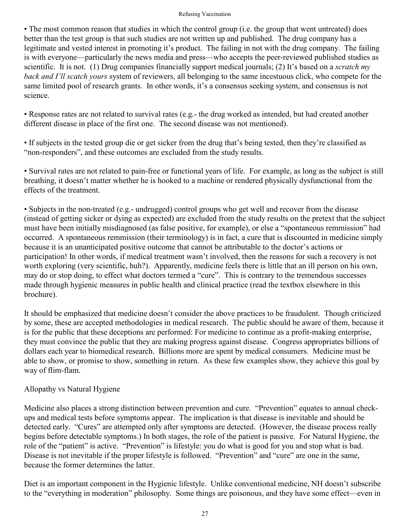• The most common reason that studies in which the control group (i.e. the group that went untreated) does better than the test group is that such studies are not written up and published. The drug company has a legitimate and vested interest in promoting it's product. The failing in not with the drug company. The failing is with everyone—particularly the news media and press—who accepts the peer-reviewed published studies as scientific. It is not. (1) Drug companies financially support medical journals; (2) It's based on a *scratch my back and I'll scatch yours* system of reviewers, all belonging to the same incestuous click, who compete for the same limited pool of research grants. In other words, it's a consensus seeking system, and consensus is not science.

• Response rates are not related to survival rates (e.g.- the drug worked as intended, but had created another different disease in place of the first one. The second disease was not mentioned).

• If subjects in the tested group die or get sicker from the drug that's being tested, then they're classified as "non-responders", and these outcomes are excluded from the study results.

• Survival rates are not related to pain-free or functional years of life. For example, as long as the subject is still breathing, it doesn't matter whether he is hooked to a machine or rendered physically dysfunctional from the effects of the treatment.

• Subjects in the non-treated (e.g.- undrugged) control groups who get well and recover from the disease (instead of getting sicker or dying as expected) are excluded from the study results on the pretext that the subject must have been initially misdiagnosed (as false positive, for example), or else a "spontaneous remmission" had occurred. A spontaneous remmission (their terminology) is in fact, a cure that is discounted in medicine simply because it is an unanticipated positive outcome that cannot be attributable to the doctor's actions or participation! In other words, if medical treatment wasn't involved, then the reasons for such a recovery is not worth exploring (very scientific, huh?). Apparently, medicine feels there is little that an ill person on his own, may do or stop doing, to effect what doctors termed a "cure". This is contrary to the tremendous successes made through hygienic measures in public health and clinical practice (read the textbox elsewhere in this brochure).

It should be emphasized that medicine doesn't consider the above practices to be fraudulent. Though criticized by some, these are accepted methodologies in medical research. The public should be aware of them, because it is for the public that these deceptions are performed: For medicine to continue as a profit-making enterprise, they must convince the public that they are making progress against disease. Congress appropriates billions of dollars each year to biomedical research. Billions more are spent by medical consumers. Medicine must be able to show, or promise to show, something in return. As these few examples show, they achieve this goal by way of flim-flam.

## Allopathy vs Natural Hygiene

Medicine also places a strong distinction between prevention and cure. "Prevention" equates to annual checkups and medical tests before symptoms appear. The implication is that disease is inevitable and should be detected early. "Cures" are attempted only after symptoms are detected. (However, the disease process really begins before detectable symptoms.) In both stages, the role of the patient is passive. For Natural Hygiene, the role of the "patient" is active. "Prevention" is lifestyle: you do what is good for you and stop what is bad. Disease is not inevitable if the proper lifestyle is followed. "Prevention" and "cure" are one in the same, because the former determines the latter.

Diet is an important component in the Hygienic lifestyle. Unlike conventional medicine, NH doesn't subscribe to the "everything in moderation" philosophy. Some things are poisonous, and they have some effect—even in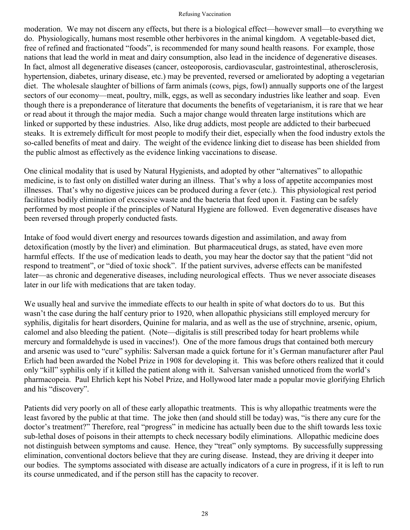moderation. We may not discern any effects, but there is a biological effect—however small—to everything we do. Physiologically, humans most resemble other herbivores in the animal kingdom. A vegetable-based diet, free of refined and fractionated "foods", is recommended for many sound health reasons. For example, those nations that lead the world in meat and dairy consumption, also lead in the incidence of degenerative diseases. In fact, almost all degenerative diseases (cancer, osteoporosis, cardiovascular, gastrointestinal, atherosclerosis, hypertension, diabetes, urinary disease, etc.) may be prevented, reversed or ameliorated by adopting a vegetarian diet. The wholesale slaughter of billions of farm animals (cows, pigs, fowl) annually supports one of the largest sectors of our economy—meat, poultry, milk, eggs, as well as secondary industries like leather and soap. Even though there is a preponderance of literature that documents the benefits of vegetarianism, it is rare that we hear or read about it through the major media. Such a major change would threaten large institutions which are linked or supported by these industries. Also, like drug addicts, most people are addicted to their barbecued steaks. It is extremely difficult for most people to modify their diet, especially when the food industry extols the so-called benefits of meat and dairy. The weight of the evidence linking diet to disease has been shielded from the public almost as effectively as the evidence linking vaccinations to disease.

One clinical modality that is used by Natural Hygienists, and adopted by other "alternatives" to allopathic medicine, is to fast only on distilled water during an illness. That's why a loss of appetite accompanies most illnesses. That's why no digestive juices can be produced during a fever (etc.). This physiological rest period facilitates bodily elimination of excessive waste and the bacteria that feed upon it. Fasting can be safely performed by most people if the principles of Natural Hygiene are followed. Even degenerative diseases have been reversed through properly conducted fasts.

Intake of food would divert energy and resources towards digestion and assimilation, and away from detoxification (mostly by the liver) and elimination. But pharmaceutical drugs, as stated, have even more harmful effects. If the use of medication leads to death, you may hear the doctor say that the patient "did not respond to treatment", or "died of toxic shock". If the patient survives, adverse effects can be manifested later—as chronic and degenerative diseases, including neurological effects. Thus we never associate diseases later in our life with medications that are taken today.

We usually heal and survive the immediate effects to our health in spite of what doctors do to us. But this wasn't the case during the half century prior to 1920, when allopathic physicians still employed mercury for syphilis, digitalis for heart disorders, Quinine for malaria, and as well as the use of strychnine, arsenic, opium, calomel and also bleeding the patient. (Note—digitalis is still prescribed today for heart problems while mercury and formaldehyde is used in vaccines!). One of the more famous drugs that contained both mercury and arsenic was used to "cure" syphilis: Salversan made a quick fortune for it's German manufacturer after Paul Erlich had been awarded the Nobel Prize in 1908 for developing it. This was before others realized that it could only "kill" syphilis only if it killed the patient along with it. Salversan vanished unnoticed from the world's pharmacopeia. Paul Ehrlich kept his Nobel Prize, and Hollywood later made a popular movie glorifying Ehrlich and his "discovery".

Patients did very poorly on all of these early allopathic treatments. This is why allopathic treatments were the least favored by the public at that time. The joke then (and should still be today) was, "is there any cure for the doctor's treatment?" Therefore, real "progress" in medicine has actually been due to the shift towards less toxic sub-lethal doses of poisons in their attempts to check necessary bodily eliminations. Allopathic medicine does not distinguish between symptoms and cause. Hence, they "treat" only symptoms. By successfully suppressing elimination, conventional doctors believe that they are curing disease. Instead, they are driving it deeper into our bodies. The symptoms associated with disease are actually indicators of a cure in progress, if it is left to run its course unmedicated, and if the person still has the capacity to recover.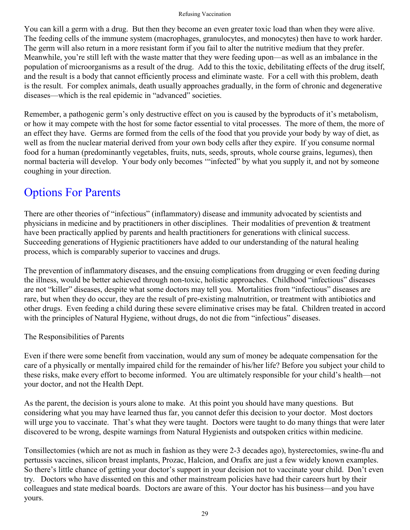You can kill a germ with a drug. But then they become an even greater toxic load than when they were alive. The feeding cells of the immune system (macrophages, granulocytes, and monocytes) then have to work harder. The germ will also return in a more resistant form if you fail to alter the nutritive medium that they prefer. Meanwhile, you're still left with the waste matter that they were feeding upon—as well as an imbalance in the population of microorganisms as a result of the drug. Add to this the toxic, debilitating effects of the drug itself, and the result is a body that cannot efficiently process and eliminate waste. For a cell with this problem, death is the result. For complex animals, death usually approaches gradually, in the form of chronic and degenerative diseases—which is the real epidemic in "advanced" societies.

Remember, a pathogenic germ's only destructive effect on you is caused by the byproducts of it's metabolism, or how it may compete with the host for some factor essential to vital processes. The more of them, the more of an effect they have. Germs are formed from the cells of the food that you provide your body by way of diet, as well as from the nuclear material derived from your own body cells after they expire. If you consume normal food for a human (predominantly vegetables, fruits, nuts, seeds, sprouts, whole course grains, legumes), then normal bacteria will develop. Your body only becomes "infected" by what you supply it, and not by someone coughing in your direction.

## Options For Parents

There are other theories of "infectious" (inflammatory) disease and immunity advocated by scientists and physicians in medicine and by practitioners in other disciplines. Their modalities of prevention & treatment have been practically applied by parents and health practitioners for generations with clinical success. Succeeding generations of Hygienic practitioners have added to our understanding of the natural healing process, which is comparably superior to vaccines and drugs.

The prevention of inflammatory diseases, and the ensuing complications from drugging or even feeding during the illness, would be better achieved through non-toxic, holistic approaches. Childhood "infectious" diseases are not "killer" diseases, despite what some doctors may tell you. Mortalities from "infectious" diseases are rare, but when they do occur, they are the result of pre-existing malnutrition, or treatment with antibiotics and other drugs. Even feeding a child during these severe eliminative crises may be fatal. Children treated in accord with the principles of Natural Hygiene, without drugs, do not die from "infectious" diseases.

The Responsibilities of Parents

Even if there were some benefit from vaccination, would any sum of money be adequate compensation for the care of a physically or mentally impaired child for the remainder of his/her life? Before you subject your child to these risks, make every effort to become informed. You are ultimately responsible for your child's health—not your doctor, and not the Health Dept.

As the parent, the decision is yours alone to make. At this point you should have many questions. But considering what you may have learned thus far, you cannot defer this decision to your doctor. Most doctors will urge you to vaccinate. That's what they were taught. Doctors were taught to do many things that were later discovered to be wrong, despite warnings from Natural Hygienists and outspoken critics within medicine.

Tonsillectomies (which are not as much in fashion as they were 2-3 decades ago), hysterectomies, swine-flu and pertussis vaccines, silicon breast implants, Prozac, Halcion, and Orafix are just a few widely known examples. So there's little chance of getting your doctor's support in your decision not to vaccinate your child. Don't even try. Doctors who have dissented on this and other mainstream policies have had their careers hurt by their colleagues and state medical boards. Doctors are aware of this. Your doctor has his business—and you have yours.